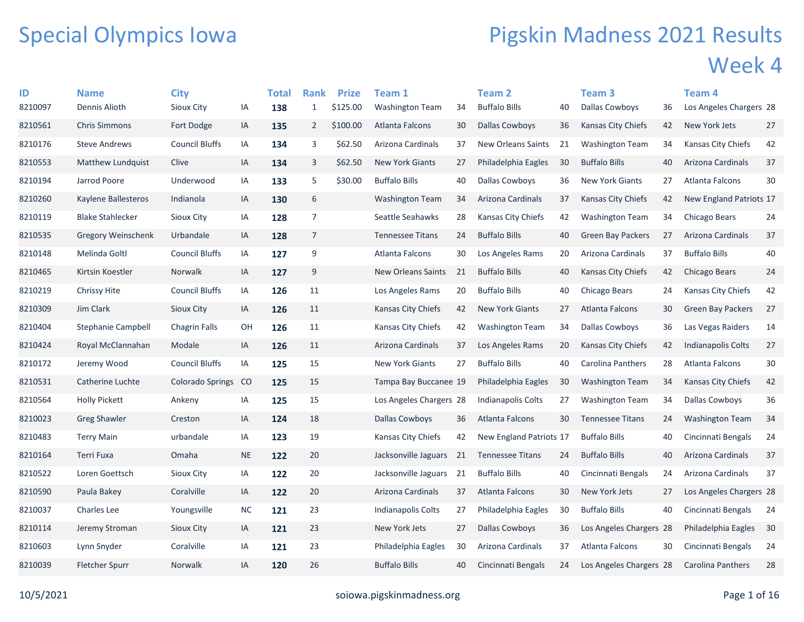## Special Olympics Iowa

## Pigskin Madness 2021 Results Week 4

| ID      | <b>Name</b>              | <b>City</b>             |               | Total | <b>Rank</b>    | <b>Prize</b> | <b>Team 1</b>             |    | <b>Team 2</b>             |    | Team 3                   |    | Team 4                   |        |
|---------|--------------------------|-------------------------|---------------|-------|----------------|--------------|---------------------------|----|---------------------------|----|--------------------------|----|--------------------------|--------|
| 8210097 | Dennis Alioth            | <b>Sioux City</b>       | IA            | 138   | $\mathbf{1}$   | \$125.00     | <b>Washington Team</b>    | 34 | <b>Buffalo Bills</b>      | 40 | <b>Dallas Cowboys</b>    | 36 | Los Angeles Chargers 28  |        |
| 8210561 | <b>Chris Simmons</b>     | Fort Dodge              | IA            | 135   | $\overline{2}$ | \$100.00     | Atlanta Falcons           | 30 | Dallas Cowboys            | 36 | Kansas City Chiefs       | 42 | <b>New York Jets</b>     | 27     |
| 8210176 | <b>Steve Andrews</b>     | <b>Council Bluffs</b>   | IA            | 134   | 3              | \$62.50      | Arizona Cardinals         | 37 | <b>New Orleans Saints</b> | 21 | Washington Team          | 34 | Kansas City Chiefs       | 42     |
| 8210553 | <b>Matthew Lundquist</b> | Clive                   | IA            | 134   | 3              | \$62.50      | <b>New York Giants</b>    | 27 | Philadelphia Eagles       | 30 | <b>Buffalo Bills</b>     | 40 | Arizona Cardinals        | 37     |
| 8210194 | Jarrod Poore             | Underwood               | IA            | 133   | 5              | \$30.00      | <b>Buffalo Bills</b>      | 40 | Dallas Cowboys            | 36 | <b>New York Giants</b>   | 27 | Atlanta Falcons          | 30     |
| 8210260 | Kaylene Ballesteros      | Indianola               | IA            | 130   | 6              |              | <b>Washington Team</b>    | 34 | Arizona Cardinals         | 37 | Kansas City Chiefs       | 42 | New England Patriots 17  |        |
| 8210119 | <b>Blake Stahlecker</b>  | Sioux City              | IA            | 128   | $\overline{7}$ |              | Seattle Seahawks          | 28 | Kansas City Chiefs        | 42 | <b>Washington Team</b>   | 34 | Chicago Bears            | 24     |
| 8210535 | Gregory Weinschenk       | Urbandale               | IA            | 128   | $\overline{7}$ |              | <b>Tennessee Titans</b>   | 24 | <b>Buffalo Bills</b>      | 40 | <b>Green Bay Packers</b> | 27 | Arizona Cardinals        | 37     |
| 8210148 | Melinda Goltl            | <b>Council Bluffs</b>   | IA            | 127   | $9\,$          |              | Atlanta Falcons           | 30 | Los Angeles Rams          | 20 | Arizona Cardinals        | 37 | <b>Buffalo Bills</b>     | 40     |
| 8210465 | Kirtsin Koestler         | Norwalk                 | IA            | 127   | 9              |              | <b>New Orleans Saints</b> | 21 | <b>Buffalo Bills</b>      | 40 | Kansas City Chiefs       | 42 | Chicago Bears            | 24     |
| 8210219 | <b>Chrissy Hite</b>      | <b>Council Bluffs</b>   | IA            | 126   | 11             |              | Los Angeles Rams          | 20 | <b>Buffalo Bills</b>      | 40 | Chicago Bears            | 24 | Kansas City Chiefs       | 42     |
| 8210309 | Jim Clark                | <b>Sioux City</b>       | IA            | 126   | 11             |              | Kansas City Chiefs        | 42 | <b>New York Giants</b>    | 27 | Atlanta Falcons          | 30 | <b>Green Bay Packers</b> | 27     |
| 8210404 | Stephanie Campbell       | <b>Chagrin Falls</b>    | OH            | 126   | 11             |              | Kansas City Chiefs        | 42 | <b>Washington Team</b>    | 34 | <b>Dallas Cowboys</b>    | 36 | Las Vegas Raiders        | 14     |
| 8210424 | Royal McClannahan        | Modale                  | IA            | 126   | 11             |              | Arizona Cardinals         | 37 | Los Angeles Rams          | 20 | Kansas City Chiefs       | 42 | Indianapolis Colts       | 27     |
| 8210172 | Jeremy Wood              | <b>Council Bluffs</b>   | IA            | 125   | 15             |              | <b>New York Giants</b>    | 27 | <b>Buffalo Bills</b>      | 40 | <b>Carolina Panthers</b> | 28 | <b>Atlanta Falcons</b>   | $30\,$ |
| 8210531 | Catherine Luchte         | <b>Colorado Springs</b> | <sub>co</sub> | 125   | 15             |              | Tampa Bay Buccanee 19     |    | Philadelphia Eagles       | 30 | <b>Washington Team</b>   | 34 | Kansas City Chiefs       | 42     |
| 8210564 | <b>Holly Pickett</b>     | Ankeny                  | IA            | 125   | 15             |              | Los Angeles Chargers 28   |    | Indianapolis Colts        | 27 | <b>Washington Team</b>   | 34 | Dallas Cowboys           | 36     |
| 8210023 | <b>Greg Shawler</b>      | Creston                 | IA            | 124   | 18             |              | <b>Dallas Cowboys</b>     | 36 | Atlanta Falcons           | 30 | <b>Tennessee Titans</b>  | 24 | <b>Washington Team</b>   | 34     |
| 8210483 | <b>Terry Main</b>        | urbandale               | IA            | 123   | 19             |              | Kansas City Chiefs        | 42 | New England Patriots 17   |    | <b>Buffalo Bills</b>     | 40 | Cincinnati Bengals       | 24     |
| 8210164 | Terri Fuxa               | Omaha                   | <b>NE</b>     | 122   | 20             |              | Jacksonville Jaguars      | 21 | <b>Tennessee Titans</b>   | 24 | <b>Buffalo Bills</b>     | 40 | Arizona Cardinals        | 37     |
| 8210522 | Loren Goettsch           | <b>Sioux City</b>       | IA            | 122   | 20             |              | Jacksonville Jaguars      | 21 | <b>Buffalo Bills</b>      | 40 | Cincinnati Bengals       | 24 | Arizona Cardinals        | 37     |
| 8210590 | Paula Bakey              | Coralville              | IA            | 122   | 20             |              | Arizona Cardinals         | 37 | Atlanta Falcons           | 30 | New York Jets            | 27 | Los Angeles Chargers 28  |        |
| 8210037 | Charles Lee              | Youngsville             | <b>NC</b>     | 121   | 23             |              | Indianapolis Colts        | 27 | Philadelphia Eagles       | 30 | <b>Buffalo Bills</b>     | 40 | Cincinnati Bengals       | 24     |
| 8210114 | Jeremy Stroman           | <b>Sioux City</b>       | IA            | 121   | 23             |              | New York Jets             | 27 | Dallas Cowboys            | 36 | Los Angeles Chargers 28  |    | Philadelphia Eagles      | 30     |
| 8210603 | Lynn Snyder              | Coralville              | IA            | 121   | 23             |              | Philadelphia Eagles       | 30 | Arizona Cardinals         | 37 | Atlanta Falcons          | 30 | Cincinnati Bengals       | 24     |
| 8210039 | Fletcher Spurr           | Norwalk                 | ΙA            | 120   | 26             |              | <b>Buffalo Bills</b>      | 40 | Cincinnati Bengals        | 24 | Los Angeles Chargers 28  |    | <b>Carolina Panthers</b> | 28     |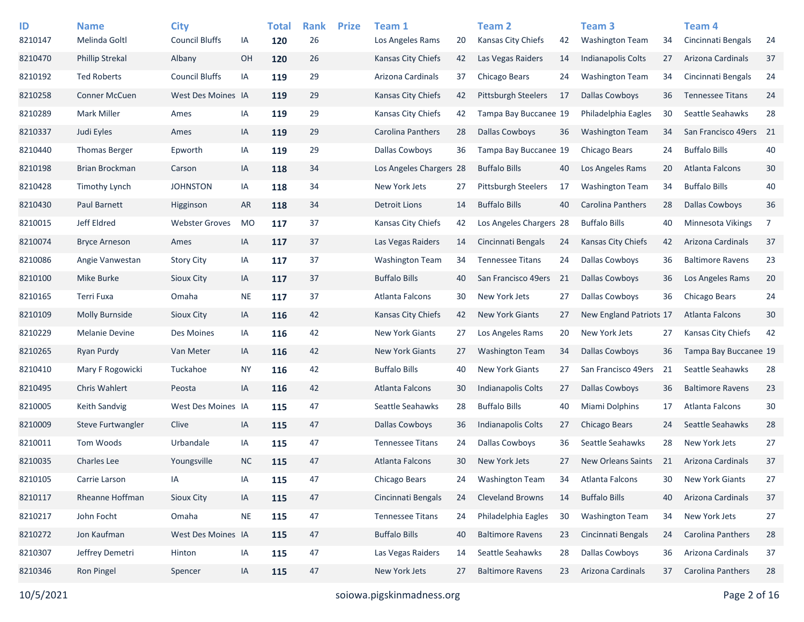| ID<br>8210147 | <b>Name</b><br>Melinda Goltl | <b>City</b><br><b>Council Bluffs</b> | IA        | <b>Total</b><br>120 | <b>Rank</b><br>26 | <b>Prize</b> | Team 1<br>Los Angeles Rams | 20 | <b>Team 2</b><br><b>Kansas City Chiefs</b> | 42 | Team 3<br><b>Washington Team</b> | 34 | Team <sub>4</sub><br>Cincinnati Bengals | 24     |
|---------------|------------------------------|--------------------------------------|-----------|---------------------|-------------------|--------------|----------------------------|----|--------------------------------------------|----|----------------------------------|----|-----------------------------------------|--------|
| 8210470       | <b>Phillip Strekal</b>       | Albany                               | OH        | 120                 | 26                |              | <b>Kansas City Chiefs</b>  | 42 | Las Vegas Raiders                          | 14 | <b>Indianapolis Colts</b>        | 27 | Arizona Cardinals                       | 37     |
| 8210192       | <b>Ted Roberts</b>           | <b>Council Bluffs</b>                | IA        | 119                 | 29                |              | Arizona Cardinals          | 37 | Chicago Bears                              | 24 | <b>Washington Team</b>           | 34 | Cincinnati Bengals                      | 24     |
| 8210258       | Conner McCuen                | West Des Moines IA                   |           | 119                 | 29                |              | <b>Kansas City Chiefs</b>  | 42 | <b>Pittsburgh Steelers</b>                 | 17 | <b>Dallas Cowboys</b>            | 36 | <b>Tennessee Titans</b>                 | 24     |
| 8210289       | <b>Mark Miller</b>           | Ames                                 | IA        | 119                 | 29                |              | Kansas City Chiefs         | 42 | Tampa Bay Buccanee 19                      |    | Philadelphia Eagles              | 30 | Seattle Seahawks                        | 28     |
| 8210337       | Judi Eyles                   | Ames                                 | IA        | 119                 | 29                |              | Carolina Panthers          | 28 | <b>Dallas Cowboys</b>                      | 36 | <b>Washington Team</b>           | 34 | San Francisco 49ers 21                  |        |
| 8210440       | <b>Thomas Berger</b>         | Epworth                              | IA        | 119                 | 29                |              | Dallas Cowboys             | 36 | Tampa Bay Buccanee 19                      |    | Chicago Bears                    | 24 | <b>Buffalo Bills</b>                    | 40     |
| 8210198       | <b>Brian Brockman</b>        | Carson                               | IA        | 118                 | 34                |              | Los Angeles Chargers 28    |    | <b>Buffalo Bills</b>                       | 40 | Los Angeles Rams                 | 20 | Atlanta Falcons                         | 30     |
| 8210428       | <b>Timothy Lynch</b>         | <b>JOHNSTON</b>                      | IA        | 118                 | 34                |              | New York Jets              | 27 | <b>Pittsburgh Steelers</b>                 | 17 | <b>Washington Team</b>           | 34 | <b>Buffalo Bills</b>                    | 40     |
| 8210430       | Paul Barnett                 | Higginson                            | <b>AR</b> | 118                 | 34                |              | <b>Detroit Lions</b>       | 14 | <b>Buffalo Bills</b>                       | 40 | Carolina Panthers                | 28 | <b>Dallas Cowboys</b>                   | 36     |
| 8210015       | Jeff Eldred                  | <b>Webster Groves</b>                | <b>MO</b> | 117                 | 37                |              | Kansas City Chiefs         | 42 | Los Angeles Chargers 28                    |    | <b>Buffalo Bills</b>             | 40 | Minnesota Vikings                       | 7      |
| 8210074       | <b>Bryce Arneson</b>         | Ames                                 | IA        | 117                 | 37                |              | Las Vegas Raiders          | 14 | Cincinnati Bengals                         | 24 | Kansas City Chiefs               | 42 | Arizona Cardinals                       | 37     |
| 8210086       | Angie Vanwestan              | <b>Story City</b>                    | IA        | 117                 | 37                |              | <b>Washington Team</b>     | 34 | <b>Tennessee Titans</b>                    | 24 | <b>Dallas Cowboys</b>            | 36 | <b>Baltimore Ravens</b>                 | 23     |
| 8210100       | Mike Burke                   | Sioux City                           | IA        | 117                 | 37                |              | <b>Buffalo Bills</b>       | 40 | San Francisco 49ers                        | 21 | Dallas Cowboys                   | 36 | Los Angeles Rams                        | 20     |
| 8210165       | Terri Fuxa                   | Omaha                                | <b>NE</b> | 117                 | 37                |              | Atlanta Falcons            | 30 | New York Jets                              | 27 | Dallas Cowboys                   | 36 | Chicago Bears                           | 24     |
| 8210109       | Molly Burnside               | Sioux City                           | IA        | 116                 | 42                |              | Kansas City Chiefs         | 42 | <b>New York Giants</b>                     | 27 | New England Patriots 17          |    | Atlanta Falcons                         | 30     |
| 8210229       | <b>Melanie Devine</b>        | Des Moines                           | IA        | 116                 | 42                |              | <b>New York Giants</b>     | 27 | Los Angeles Rams                           | 20 | New York Jets                    | 27 | Kansas City Chiefs                      | 42     |
| 8210265       | Ryan Purdy                   | Van Meter                            | IA        | 116                 | 42                |              | <b>New York Giants</b>     | 27 | <b>Washington Team</b>                     | 34 | <b>Dallas Cowboys</b>            | 36 | Tampa Bay Buccanee 19                   |        |
| 8210410       | Mary F Rogowicki             | Tuckahoe                             | <b>NY</b> | 116                 | 42                |              | <b>Buffalo Bills</b>       | 40 | <b>New York Giants</b>                     | 27 | San Francisco 49ers              | 21 | Seattle Seahawks                        | 28     |
| 8210495       | <b>Chris Wahlert</b>         | Peosta                               | IA        | 116                 | 42                |              | Atlanta Falcons            | 30 | Indianapolis Colts                         | 27 | <b>Dallas Cowboys</b>            | 36 | <b>Baltimore Ravens</b>                 | 23     |
| 8210005       | <b>Keith Sandvig</b>         | West Des Moines IA                   |           | 115                 | 47                |              | Seattle Seahawks           | 28 | <b>Buffalo Bills</b>                       | 40 | Miami Dolphins                   | 17 | Atlanta Falcons                         | $30\,$ |
| 8210009       | Steve Furtwangler            | Clive                                | IA        | 115                 | 47                |              | <b>Dallas Cowboys</b>      | 36 | Indianapolis Colts                         | 27 | Chicago Bears                    | 24 | Seattle Seahawks                        | 28     |
| 8210011       | Tom Woods                    | Urbandale                            | IA        | 115                 | 47                |              | <b>Tennessee Titans</b>    | 24 | <b>Dallas Cowboys</b>                      | 36 | Seattle Seahawks                 | 28 | New York Jets                           | 27     |
| 8210035       | <b>Charles Lee</b>           | Youngsville                          | <b>NC</b> | 115                 | 47                |              | Atlanta Falcons            | 30 | New York Jets                              | 27 | <b>New Orleans Saints</b>        | 21 | Arizona Cardinals                       | 37     |
| 8210105       | Carrie Larson                | IA                                   | IA        | 115                 | 47                |              | Chicago Bears              | 24 | <b>Washington Team</b>                     | 34 | Atlanta Falcons                  | 30 | <b>New York Giants</b>                  | 27     |
| 8210117       | Rheanne Hoffman              | Sioux City                           | IA        | 115                 | 47                |              | Cincinnati Bengals         | 24 | <b>Cleveland Browns</b>                    | 14 | <b>Buffalo Bills</b>             | 40 | Arizona Cardinals                       | 37     |
| 8210217       | John Focht                   | Omaha                                | <b>NE</b> | 115                 | 47                |              | <b>Tennessee Titans</b>    | 24 | Philadelphia Eagles                        | 30 | <b>Washington Team</b>           | 34 | New York Jets                           | 27     |
| 8210272       | Jon Kaufman                  | West Des Moines IA                   |           | 115                 | 47                |              | <b>Buffalo Bills</b>       | 40 | <b>Baltimore Ravens</b>                    | 23 | Cincinnati Bengals               | 24 | Carolina Panthers                       | 28     |
| 8210307       | Jeffrey Demetri              | Hinton                               | IA        | 115                 | 47                |              | Las Vegas Raiders          | 14 | Seattle Seahawks                           | 28 | <b>Dallas Cowboys</b>            | 36 | Arizona Cardinals                       | 37     |
| 8210346       | Ron Pingel                   | Spencer                              | IA        | 115                 | 47                |              | New York Jets              | 27 | <b>Baltimore Ravens</b>                    | 23 | Arizona Cardinals                | 37 | Carolina Panthers                       | 28     |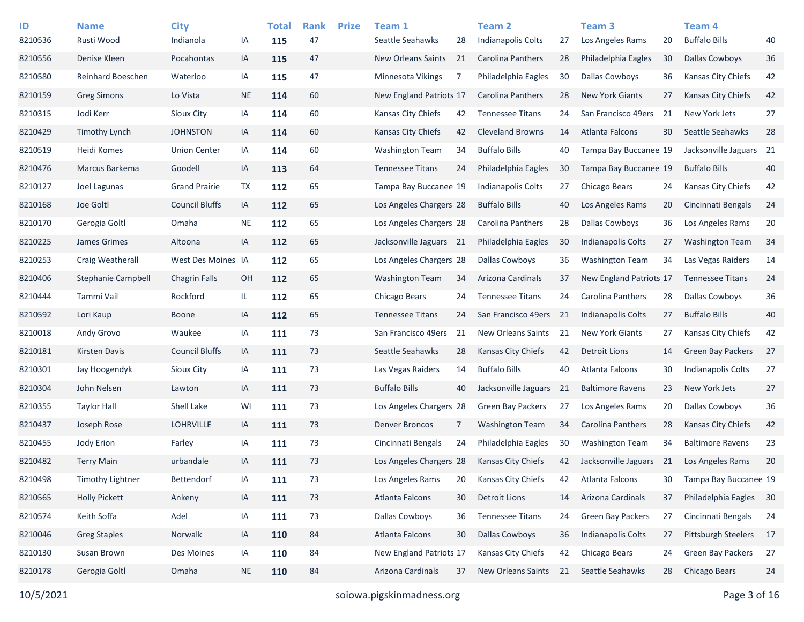| ID<br>8210536 | <b>Name</b><br>Rusti Wood | <b>City</b><br>Indianola | IA        | <b>Total</b><br>115 | <b>Rank</b><br>47 | <b>Prize</b> | Team 1<br>Seattle Seahawks | 28             | <b>Team 2</b><br>Indianapolis Colts | 27 | Team <sub>3</sub><br>Los Angeles Rams | 20 | Team <sub>4</sub><br><b>Buffalo Bills</b> | 40 |
|---------------|---------------------------|--------------------------|-----------|---------------------|-------------------|--------------|----------------------------|----------------|-------------------------------------|----|---------------------------------------|----|-------------------------------------------|----|
| 8210556       | Denise Kleen              | Pocahontas               | IA        | 115                 | 47                |              | <b>New Orleans Saints</b>  | 21             | Carolina Panthers                   | 28 | Philadelphia Eagles                   | 30 | <b>Dallas Cowboys</b>                     | 36 |
| 8210580       | Reinhard Boeschen         | Waterloo                 | IA        | 115                 | 47                |              | Minnesota Vikings          | 7              | Philadelphia Eagles                 | 30 | <b>Dallas Cowboys</b>                 | 36 | Kansas City Chiefs                        | 42 |
| 8210159       | <b>Greg Simons</b>        | Lo Vista                 | <b>NE</b> | 114                 | 60                |              | New England Patriots 17    |                | <b>Carolina Panthers</b>            | 28 | <b>New York Giants</b>                | 27 | <b>Kansas City Chiefs</b>                 | 42 |
| 8210315       | Jodi Kerr                 | Sioux City               | IA        | 114                 | 60                |              | Kansas City Chiefs         | 42             | <b>Tennessee Titans</b>             | 24 | San Francisco 49ers                   | 21 | New York Jets                             | 27 |
| 8210429       | <b>Timothy Lynch</b>      | <b>JOHNSTON</b>          | IA        | 114                 | 60                |              | Kansas City Chiefs         | 42             | <b>Cleveland Browns</b>             | 14 | <b>Atlanta Falcons</b>                | 30 | Seattle Seahawks                          | 28 |
| 8210519       | Heidi Komes               | <b>Union Center</b>      | IA        | 114                 | 60                |              | <b>Washington Team</b>     | 34             | <b>Buffalo Bills</b>                | 40 | Tampa Bay Buccanee 19                 |    | Jacksonville Jaguars 21                   |    |
| 8210476       | Marcus Barkema            | Goodell                  | IA        | 113                 | 64                |              | <b>Tennessee Titans</b>    | 24             | Philadelphia Eagles                 | 30 | Tampa Bay Buccanee 19                 |    | <b>Buffalo Bills</b>                      | 40 |
| 8210127       | Joel Lagunas              | <b>Grand Prairie</b>     | TX        | 112                 | 65                |              | Tampa Bay Buccanee 19      |                | Indianapolis Colts                  | 27 | Chicago Bears                         | 24 | Kansas City Chiefs                        | 42 |
| 8210168       | Joe Goltl                 | <b>Council Bluffs</b>    | IA        | 112                 | 65                |              | Los Angeles Chargers 28    |                | <b>Buffalo Bills</b>                | 40 | Los Angeles Rams                      | 20 | Cincinnati Bengals                        | 24 |
| 8210170       | Gerogia Goltl             | Omaha                    | <b>NE</b> | 112                 | 65                |              | Los Angeles Chargers 28    |                | Carolina Panthers                   | 28 | Dallas Cowboys                        | 36 | Los Angeles Rams                          | 20 |
| 8210225       | James Grimes              | Altoona                  | IA        | 112                 | 65                |              | Jacksonville Jaguars 21    |                | Philadelphia Eagles                 | 30 | Indianapolis Colts                    | 27 | <b>Washington Team</b>                    | 34 |
| 8210253       | Craig Weatherall          | West Des Moines IA       |           | 112                 | 65                |              | Los Angeles Chargers 28    |                | <b>Dallas Cowboys</b>               | 36 | <b>Washington Team</b>                | 34 | Las Vegas Raiders                         | 14 |
| 8210406       | Stephanie Campbell        | <b>Chagrin Falls</b>     | OH        | 112                 | 65                |              | Washington Team            | 34             | Arizona Cardinals                   | 37 | New England Patriots 17               |    | <b>Tennessee Titans</b>                   | 24 |
| 8210444       | Tammi Vail                | Rockford                 | IL.       | 112                 | 65                |              | Chicago Bears              | 24             | <b>Tennessee Titans</b>             | 24 | Carolina Panthers                     | 28 | <b>Dallas Cowboys</b>                     | 36 |
| 8210592       | Lori Kaup                 | <b>Boone</b>             | IA        | 112                 | 65                |              | <b>Tennessee Titans</b>    | 24             | San Francisco 49ers                 | 21 | <b>Indianapolis Colts</b>             | 27 | <b>Buffalo Bills</b>                      | 40 |
| 8210018       | Andy Grovo                | Waukee                   | IA        | 111                 | 73                |              | San Francisco 49ers        | 21             | <b>New Orleans Saints</b>           | 21 | <b>New York Giants</b>                | 27 | Kansas City Chiefs                        | 42 |
| 8210181       | <b>Kirsten Davis</b>      | <b>Council Bluffs</b>    | IA        | 111                 | 73                |              | Seattle Seahawks           | 28             | <b>Kansas City Chiefs</b>           | 42 | <b>Detroit Lions</b>                  | 14 | <b>Green Bay Packers</b>                  | 27 |
| 8210301       | Jay Hoogendyk             | <b>Sioux City</b>        | IA        | 111                 | 73                |              | Las Vegas Raiders          | 14             | <b>Buffalo Bills</b>                | 40 | Atlanta Falcons                       | 30 | <b>Indianapolis Colts</b>                 | 27 |
| 8210304       | John Nelsen               | Lawton                   | IA        | 111                 | 73                |              | <b>Buffalo Bills</b>       | 40             | Jacksonville Jaguars                | 21 | <b>Baltimore Ravens</b>               | 23 | New York Jets                             | 27 |
| 8210355       | <b>Taylor Hall</b>        | Shell Lake               | WI        | 111                 | 73                |              | Los Angeles Chargers 28    |                | <b>Green Bay Packers</b>            | 27 | Los Angeles Rams                      | 20 | <b>Dallas Cowboys</b>                     | 36 |
| 8210437       | Joseph Rose               | <b>LOHRVILLE</b>         | IA        | 111                 | 73                |              | <b>Denver Broncos</b>      | $\overline{7}$ | <b>Washington Team</b>              | 34 | Carolina Panthers                     | 28 | <b>Kansas City Chiefs</b>                 | 42 |
| 8210455       | Jody Erion                | Farley                   | IA        | 111                 | 73                |              | Cincinnati Bengals         | 24             | Philadelphia Eagles                 | 30 | <b>Washington Team</b>                | 34 | <b>Baltimore Ravens</b>                   | 23 |
| 8210482       | <b>Terry Main</b>         | urbandale                | IA        | 111                 | 73                |              | Los Angeles Chargers 28    |                | <b>Kansas City Chiefs</b>           | 42 | Jacksonville Jaguars                  | 21 | Los Angeles Rams                          | 20 |
| 8210498       | <b>Timothy Lightner</b>   | Bettendorf               | IA        | 111                 | 73                |              | Los Angeles Rams           | 20             | Kansas City Chiefs                  | 42 | Atlanta Falcons                       | 30 | Tampa Bay Buccanee 19                     |    |
| 8210565       | <b>Holly Pickett</b>      | Ankeny                   | IA        | 111                 | 73                |              | Atlanta Falcons            | 30             | <b>Detroit Lions</b>                | 14 | Arizona Cardinals                     | 37 | Philadelphia Eagles 30                    |    |
| 8210574       | Keith Soffa               | Adel                     | IA        | 111                 | 73                |              | Dallas Cowboys             | 36             | <b>Tennessee Titans</b>             | 24 | Green Bay Packers                     | 27 | Cincinnati Bengals                        | 24 |
| 8210046       | <b>Greg Staples</b>       | Norwalk                  | IA        | 110                 | 84                |              | Atlanta Falcons            | 30             | <b>Dallas Cowboys</b>               | 36 | Indianapolis Colts                    | 27 | Pittsburgh Steelers                       | 17 |
| 8210130       | Susan Brown               | Des Moines               | IA        | 110                 | 84                |              | New England Patriots 17    |                | Kansas City Chiefs                  | 42 | Chicago Bears                         | 24 | Green Bay Packers                         | 27 |
| 8210178       | Gerogia Goltl             | Omaha                    | <b>NE</b> | 110                 | 84                |              | Arizona Cardinals          | 37             | New Orleans Saints                  | 21 | Seattle Seahawks                      | 28 | Chicago Bears                             | 24 |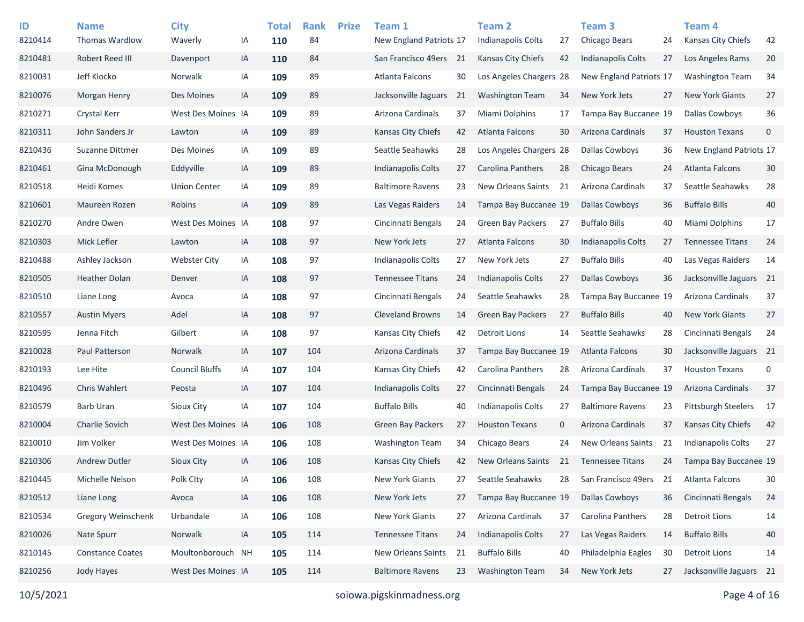| ID<br>8210414 | <b>Name</b><br><b>Thomas Wardlow</b> | <b>City</b><br>Waverly | IA | <b>Total</b><br>110 | <b>Rank</b><br>84 | <b>Prize</b> | Team 1<br>New England Patriots 17 |    | Team 2<br>Indianapolis Colts | 27 | Team <sub>3</sub><br>Chicago Bears | 24 | Team 4<br>Kansas City Chiefs | 42          |
|---------------|--------------------------------------|------------------------|----|---------------------|-------------------|--------------|-----------------------------------|----|------------------------------|----|------------------------------------|----|------------------------------|-------------|
| 8210481       | Robert Reed III                      | Davenport              | IA | 110                 | 84                |              | San Francisco 49ers               | 21 | <b>Kansas City Chiefs</b>    | 42 | <b>Indianapolis Colts</b>          | 27 | Los Angeles Rams             | 20          |
| 8210031       | Jeff Klocko                          | Norwalk                | IA | 109                 | 89                |              | Atlanta Falcons                   | 30 | Los Angeles Chargers 28      |    | New England Patriots 17            |    | <b>Washington Team</b>       | 34          |
| 8210076       | <b>Morgan Henry</b>                  | Des Moines             | IA | 109                 | 89                |              | Jacksonville Jaguars              | 21 | <b>Washington Team</b>       | 34 | New York Jets                      | 27 | <b>New York Giants</b>       | 27          |
| 8210271       | Crystal Kerr                         | West Des Moines IA     |    | 109                 | 89                |              | Arizona Cardinals                 | 37 | Miami Dolphins               | 17 | Tampa Bay Buccanee 19              |    | <b>Dallas Cowboys</b>        | 36          |
| 8210311       | John Sanders Jr                      | Lawton                 | IA | 109                 | 89                |              | Kansas City Chiefs                | 42 | Atlanta Falcons              | 30 | Arizona Cardinals                  | 37 | <b>Houston Texans</b>        | $\mathbf 0$ |
| 8210436       | Suzanne Dittmer                      | Des Moines             | IA | 109                 | 89                |              | Seattle Seahawks                  | 28 | Los Angeles Chargers 28      |    | <b>Dallas Cowboys</b>              | 36 | New England Patriots 17      |             |
| 8210461       | Gina McDonough                       | Eddyville              | IA | 109                 | 89                |              | <b>Indianapolis Colts</b>         | 27 | Carolina Panthers            | 28 | Chicago Bears                      | 24 | <b>Atlanta Falcons</b>       | 30          |
| 8210518       | Heidi Komes                          | <b>Union Center</b>    | IA | 109                 | 89                |              | <b>Baltimore Ravens</b>           | 23 | New Orleans Saints           | 21 | Arizona Cardinals                  | 37 | Seattle Seahawks             | 28          |
| 8210601       | Maureen Rozen                        | Robins                 | IA | 109                 | 89                |              | Las Vegas Raiders                 | 14 | Tampa Bay Buccanee 19        |    | <b>Dallas Cowboys</b>              | 36 | <b>Buffalo Bills</b>         | 40          |
| 8210270       | Andre Owen                           | West Des Moines IA     |    | 108                 | 97                |              | Cincinnati Bengals                | 24 | <b>Green Bay Packers</b>     | 27 | <b>Buffalo Bills</b>               | 40 | <b>Miami Dolphins</b>        | 17          |
| 8210303       | Mick Lefler                          | Lawton                 | IA | 108                 | 97                |              | New York Jets                     | 27 | Atlanta Falcons              | 30 | <b>Indianapolis Colts</b>          | 27 | <b>Tennessee Titans</b>      | 24          |
| 8210488       | Ashley Jackson                       | <b>Webster City</b>    | IA | 108                 | 97                |              | <b>Indianapolis Colts</b>         | 27 | New York Jets                | 27 | <b>Buffalo Bills</b>               | 40 | Las Vegas Raiders            | 14          |
| 8210505       | <b>Heather Dolan</b>                 | Denver                 | IA | 108                 | 97                |              | <b>Tennessee Titans</b>           | 24 | Indianapolis Colts           | 27 | Dallas Cowboys                     | 36 | Jacksonville Jaguars 21      |             |
| 8210510       | Liane Long                           | Avoca                  | IA | 108                 | 97                |              | Cincinnati Bengals                | 24 | Seattle Seahawks             | 28 | Tampa Bay Buccanee 19              |    | Arizona Cardinals            | 37          |
| 8210557       | <b>Austin Myers</b>                  | Adel                   | IA | 108                 | 97                |              | <b>Cleveland Browns</b>           | 14 | Green Bay Packers            | 27 | <b>Buffalo Bills</b>               | 40 | <b>New York Giants</b>       | 27          |
| 8210595       | Jenna Fitch                          | Gilbert                | IA | 108                 | 97                |              | Kansas City Chiefs                | 42 | Detroit Lions                | 14 | Seattle Seahawks                   | 28 | Cincinnati Bengals           | 24          |
| 8210028       | Paul Patterson                       | Norwalk                | IA | 107                 | 104               |              | Arizona Cardinals                 | 37 | Tampa Bay Buccanee 19        |    | <b>Atlanta Falcons</b>             | 30 | Jacksonville Jaguars 21      |             |
| 8210193       | Lee Hite                             | <b>Council Bluffs</b>  | IA | 107                 | 104               |              | Kansas City Chiefs                | 42 | Carolina Panthers            | 28 | Arizona Cardinals                  | 37 | <b>Houston Texans</b>        | 0           |
| 8210496       | <b>Chris Wahlert</b>                 | Peosta                 | IA | 107                 | 104               |              | Indianapolis Colts                | 27 | Cincinnati Bengals           | 24 | Tampa Bay Buccanee 19              |    | Arizona Cardinals            | 37          |
| 8210579       | <b>Barb Uran</b>                     | Sioux City             | IA | 107                 | 104               |              | <b>Buffalo Bills</b>              | 40 | <b>Indianapolis Colts</b>    | 27 | <b>Baltimore Ravens</b>            | 23 | <b>Pittsburgh Steelers</b>   | 17          |
| 8210004       | <b>Charlie Sovich</b>                | West Des Moines IA     |    | 106                 | 108               |              | <b>Green Bay Packers</b>          | 27 | <b>Houston Texans</b>        | 0  | Arizona Cardinals                  | 37 | <b>Kansas City Chiefs</b>    | 42          |
| 8210010       | Jim Volker                           | West Des Moines IA     |    | 106                 | 108               |              | <b>Washington Team</b>            | 34 | Chicago Bears                | 24 | <b>New Orleans Saints</b>          | 21 | <b>Indianapolis Colts</b>    | 27          |
| 8210306       | <b>Andrew Dutler</b>                 | Sioux City             | IA | 106                 | 108               |              | Kansas City Chiefs                | 42 | <b>New Orleans Saints</b>    | 21 | <b>Tennessee Titans</b>            | 24 | Tampa Bay Buccanee 19        |             |
| 8210445       | Michelle Nelson                      | Polk Clty              | IA | 106                 | 108               |              | New York Giants                   | 27 | Seattle Seahawks             | 28 | San Francisco 49ers                | 21 | Atlanta Falcons              | 30          |
| 8210512       | Liane Long                           | Avoca                  | IA | 106                 | 108               |              | New York Jets                     | 27 | Tampa Bay Buccanee 19        |    | <b>Dallas Cowboys</b>              | 36 | Cincinnati Bengals           | 24          |
| 8210534       | Gregory Weinschenk                   | Urbandale              | IA | 106                 | 108               |              | New York Giants                   | 27 | Arizona Cardinals            | 37 | <b>Carolina Panthers</b>           | 28 | <b>Detroit Lions</b>         | 14          |
| 8210026       | Nate Spurr                           | Norwalk                | IA | 105                 | 114               |              | <b>Tennessee Titans</b>           | 24 | Indianapolis Colts           | 27 | Las Vegas Raiders                  | 14 | <b>Buffalo Bills</b>         | 40          |
| 8210145       | <b>Constance Coates</b>              | Moultonborouch NH      |    | 105                 | 114               |              | New Orleans Saints                | 21 | <b>Buffalo Bills</b>         | 40 | Philadelphia Eagles                | 30 | <b>Detroit Lions</b>         | 14          |
| 8210256       | Jody Hayes                           | West Des Moines IA     |    | 105                 | 114               |              | <b>Baltimore Ravens</b>           | 23 | <b>Washington Team</b>       | 34 | New York Jets                      | 27 | Jacksonville Jaguars 21      |             |
|               |                                      |                        |    |                     |                   |              |                                   |    |                              |    |                                    |    |                              |             |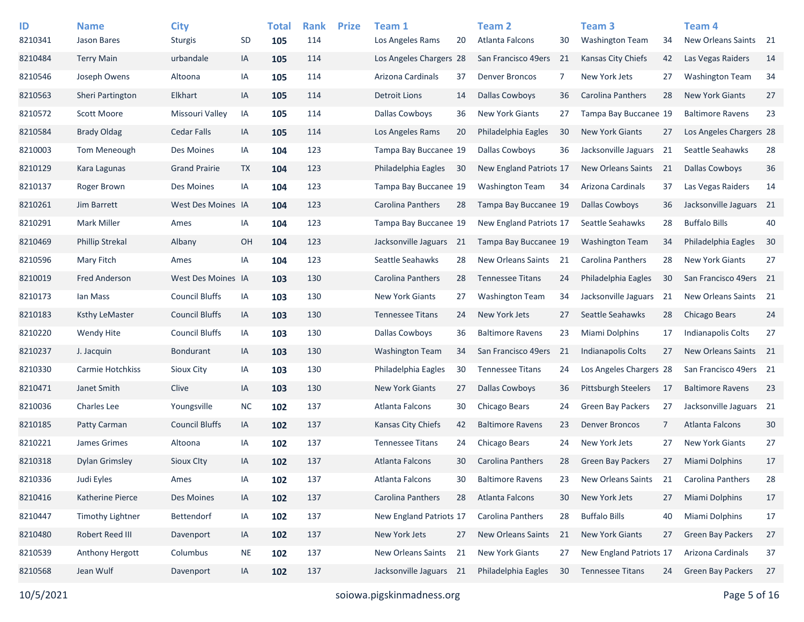| ID      | <b>Name</b>            | <b>City</b>           |           | <b>Total</b> | <b>Rank</b> | <b>Prize</b> | Team 1                    |    | <b>Team 2</b>            |    | Team 3                     |    | Team <sub>4</sub>         |    |
|---------|------------------------|-----------------------|-----------|--------------|-------------|--------------|---------------------------|----|--------------------------|----|----------------------------|----|---------------------------|----|
| 8210341 | <b>Jason Bares</b>     | <b>Sturgis</b>        | <b>SD</b> | 105          | 114         |              | Los Angeles Rams          | 20 | Atlanta Falcons          | 30 | <b>Washington Team</b>     | 34 | New Orleans Saints 21     |    |
| 8210484 | <b>Terry Main</b>      | urbandale             | IA        | 105          | 114         |              | Los Angeles Chargers 28   |    | San Francisco 49ers      | 21 | Kansas City Chiefs         | 42 | Las Vegas Raiders         | 14 |
| 8210546 | Joseph Owens           | Altoona               | IA        | 105          | 114         |              | Arizona Cardinals         | 37 | <b>Denver Broncos</b>    | 7  | <b>New York Jets</b>       | 27 | <b>Washington Team</b>    | 34 |
| 8210563 | Sheri Partington       | Elkhart               | IA        | 105          | 114         |              | <b>Detroit Lions</b>      | 14 | <b>Dallas Cowboys</b>    | 36 | Carolina Panthers          | 28 | <b>New York Giants</b>    | 27 |
| 8210572 | Scott Moore            | Missouri Valley       | IA        | 105          | 114         |              | Dallas Cowboys            | 36 | <b>New York Giants</b>   | 27 | Tampa Bay Buccanee 19      |    | <b>Baltimore Ravens</b>   | 23 |
| 8210584 | <b>Brady Oldag</b>     | <b>Cedar Falls</b>    | IA        | 105          | 114         |              | Los Angeles Rams          | 20 | Philadelphia Eagles      | 30 | <b>New York Giants</b>     | 27 | Los Angeles Chargers 28   |    |
| 8210003 | Tom Meneough           | Des Moines            | IA        | 104          | 123         |              | Tampa Bay Buccanee 19     |    | <b>Dallas Cowboys</b>    | 36 | Jacksonville Jaguars       | 21 | Seattle Seahawks          | 28 |
| 8210129 | Kara Lagunas           | <b>Grand Prairie</b>  | TX        | 104          | 123         |              | Philadelphia Eagles       | 30 | New England Patriots 17  |    | <b>New Orleans Saints</b>  | 21 | Dallas Cowboys            | 36 |
| 8210137 | Roger Brown            | Des Moines            | IA        | 104          | 123         |              | Tampa Bay Buccanee 19     |    | <b>Washington Team</b>   | 34 | Arizona Cardinals          | 37 | Las Vegas Raiders         | 14 |
| 8210261 | Jim Barrett            | West Des Moines IA    |           | 104          | 123         |              | Carolina Panthers         | 28 | Tampa Bay Buccanee 19    |    | Dallas Cowboys             | 36 | Jacksonville Jaguars 21   |    |
| 8210291 | <b>Mark Miller</b>     | Ames                  | IA        | 104          | 123         |              | Tampa Bay Buccanee 19     |    | New England Patriots 17  |    | Seattle Seahawks           | 28 | <b>Buffalo Bills</b>      | 40 |
| 8210469 | <b>Phillip Strekal</b> | Albany                | OH        | 104          | 123         |              | Jacksonville Jaguars      | 21 | Tampa Bay Buccanee 19    |    | <b>Washington Team</b>     | 34 | Philadelphia Eagles       | 30 |
| 8210596 | Mary Fitch             | Ames                  | IA        | 104          | 123         |              | Seattle Seahawks          | 28 | New Orleans Saints       | 21 | Carolina Panthers          | 28 | <b>New York Giants</b>    | 27 |
| 8210019 | <b>Fred Anderson</b>   | West Des Moines IA    |           | 103          | 130         |              | <b>Carolina Panthers</b>  | 28 | <b>Tennessee Titans</b>  | 24 | Philadelphia Eagles        | 30 | San Francisco 49ers 21    |    |
| 8210173 | Ian Mass               | <b>Council Bluffs</b> | IA        | 103          | 130         |              | <b>New York Giants</b>    | 27 | <b>Washington Team</b>   | 34 | Jacksonville Jaguars       | 21 | New Orleans Saints 21     |    |
| 8210183 | <b>Ksthy LeMaster</b>  | <b>Council Bluffs</b> | IA        | 103          | 130         |              | <b>Tennessee Titans</b>   | 24 | New York Jets            | 27 | Seattle Seahawks           | 28 | <b>Chicago Bears</b>      | 24 |
| 8210220 | Wendy Hite             | <b>Council Bluffs</b> | IA        | 103          | 130         |              | Dallas Cowboys            | 36 | <b>Baltimore Ravens</b>  | 23 | Miami Dolphins             | 17 | <b>Indianapolis Colts</b> | 27 |
| 8210237 | J. Jacquin             | Bondurant             | IA        | 103          | 130         |              | <b>Washington Team</b>    | 34 | San Francisco 49ers      | 21 | <b>Indianapolis Colts</b>  | 27 | New Orleans Saints 21     |    |
| 8210330 | Carmie Hotchkiss       | <b>Sioux City</b>     | IA        | 103          | 130         |              | Philadelphia Eagles       | 30 | <b>Tennessee Titans</b>  | 24 | Los Angeles Chargers 28    |    | San Francisco 49ers 21    |    |
| 8210471 | Janet Smith            | Clive                 | IA        | 103          | 130         |              | <b>New York Giants</b>    | 27 | <b>Dallas Cowboys</b>    | 36 | <b>Pittsburgh Steelers</b> | 17 | <b>Baltimore Ravens</b>   | 23 |
| 8210036 | <b>Charles Lee</b>     | Youngsville           | <b>NC</b> | 102          | 137         |              | Atlanta Falcons           | 30 | Chicago Bears            | 24 | <b>Green Bay Packers</b>   | 27 | Jacksonville Jaguars 21   |    |
| 8210185 | Patty Carman           | <b>Council Bluffs</b> | IA        | 102          | 137         |              | <b>Kansas City Chiefs</b> | 42 | <b>Baltimore Ravens</b>  | 23 | <b>Denver Broncos</b>      | 7  | Atlanta Falcons           | 30 |
| 8210221 | James Grimes           | Altoona               | IA        | 102          | 137         |              | <b>Tennessee Titans</b>   | 24 | Chicago Bears            | 24 | New York Jets              | 27 | <b>New York Giants</b>    | 27 |
| 8210318 | <b>Dylan Grimsley</b>  | Sioux City            | IA        | 102          | 137         |              | Atlanta Falcons           | 30 | Carolina Panthers        | 28 | Green Bay Packers          | 27 | Miami Dolphins            | 17 |
| 8210336 | Judi Eyles             | Ames                  | IA        | 102          | 137         |              | Atlanta Falcons           | 30 | <b>Baltimore Ravens</b>  | 23 | New Orleans Saints         | 21 | <b>Carolina Panthers</b>  | 28 |
| 8210416 | Katherine Pierce       | Des Moines            | IA        | 102          | 137         |              | Carolina Panthers         | 28 | Atlanta Falcons          | 30 | New York Jets              | 27 | Miami Dolphins            | 17 |
| 8210447 | Timothy Lightner       | Bettendorf            | IA        | 102          | 137         |              | New England Patriots 17   |    | <b>Carolina Panthers</b> | 28 | <b>Buffalo Bills</b>       | 40 | Miami Dolphins            | 17 |
| 8210480 | Robert Reed III        | Davenport             | IA        | 102          | 137         |              | New York Jets             | 27 | New Orleans Saints       | 21 | <b>New York Giants</b>     | 27 | Green Bay Packers         | 27 |
| 8210539 | Anthony Hergott        | Columbus              | <b>NE</b> | 102          | 137         |              | New Orleans Saints        | 21 | New York Giants          | 27 | New England Patriots 17    |    | Arizona Cardinals         | 37 |
| 8210568 | Jean Wulf              | Davenport             | IA        | 102          | 137         |              | Jacksonville Jaguars 21   |    | Philadelphia Eagles      | 30 | <b>Tennessee Titans</b>    | 24 | <b>Green Bay Packers</b>  | 27 |
|         |                        |                       |           |              |             |              |                           |    |                          |    |                            |    |                           |    |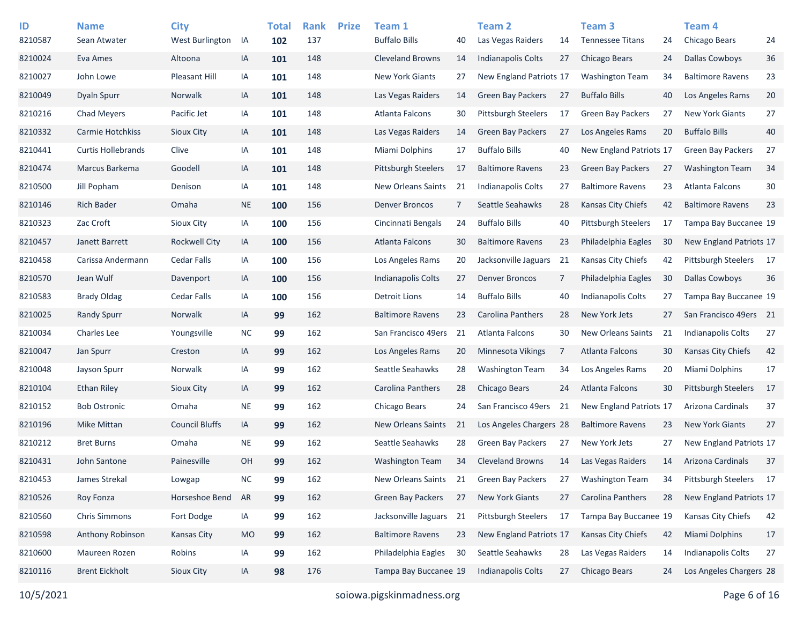| ID<br>8210587 | <b>Name</b><br>Sean Atwater | <b>City</b><br>West Burlington | IA        | <b>Total</b><br>102 | <b>Rank</b><br>137 | <b>Prize</b> | Team 1<br><b>Buffalo Bills</b> | 40             | <b>Team 2</b><br>Las Vegas Raiders | 14 | Team <sub>3</sub><br><b>Tennessee Titans</b> | 24 | Team <sub>4</sub><br>Chicago Bears | 24 |
|---------------|-----------------------------|--------------------------------|-----------|---------------------|--------------------|--------------|--------------------------------|----------------|------------------------------------|----|----------------------------------------------|----|------------------------------------|----|
| 8210024       | Eva Ames                    | Altoona                        | IA        | 101                 | 148                |              | <b>Cleveland Browns</b>        | 14             | <b>Indianapolis Colts</b>          | 27 | Chicago Bears                                | 24 | <b>Dallas Cowboys</b>              | 36 |
| 8210027       | John Lowe                   | <b>Pleasant Hill</b>           | IA        | 101                 | 148                |              | <b>New York Giants</b>         | 27             | New England Patriots 17            |    | <b>Washington Team</b>                       | 34 | <b>Baltimore Ravens</b>            | 23 |
| 8210049       | Dyaln Spurr                 | Norwalk                        | IA        | 101                 | 148                |              | Las Vegas Raiders              | 14             | <b>Green Bay Packers</b>           | 27 | <b>Buffalo Bills</b>                         | 40 | Los Angeles Rams                   | 20 |
| 8210216       | <b>Chad Meyers</b>          | Pacific Jet                    | IA        | 101                 | 148                |              | Atlanta Falcons                | 30             | <b>Pittsburgh Steelers</b>         | 17 | <b>Green Bay Packers</b>                     | 27 | <b>New York Giants</b>             | 27 |
| 8210332       | Carmie Hotchkiss            | Sioux City                     | IA        | 101                 | 148                |              | Las Vegas Raiders              | 14             | <b>Green Bay Packers</b>           | 27 | Los Angeles Rams                             | 20 | <b>Buffalo Bills</b>               | 40 |
| 8210441       | <b>Curtis Hollebrands</b>   | Clive                          | IA        | 101                 | 148                |              | Miami Dolphins                 | 17             | <b>Buffalo Bills</b>               | 40 | New England Patriots 17                      |    | <b>Green Bay Packers</b>           | 27 |
| 8210474       | Marcus Barkema              | Goodell                        | IA        | 101                 | 148                |              | <b>Pittsburgh Steelers</b>     | 17             | <b>Baltimore Ravens</b>            | 23 | <b>Green Bay Packers</b>                     | 27 | <b>Washington Team</b>             | 34 |
| 8210500       | Jill Popham                 | Denison                        | IA        | 101                 | 148                |              | New Orleans Saints             | 21             | Indianapolis Colts                 | 27 | <b>Baltimore Ravens</b>                      | 23 | Atlanta Falcons                    | 30 |
| 8210146       | <b>Rich Bader</b>           | Omaha                          | <b>NE</b> | 100                 | 156                |              | <b>Denver Broncos</b>          | $\overline{7}$ | Seattle Seahawks                   | 28 | <b>Kansas City Chiefs</b>                    | 42 | <b>Baltimore Ravens</b>            | 23 |
| 8210323       | Zac Croft                   | <b>Sioux City</b>              | IA        | 100                 | 156                |              | Cincinnati Bengals             | 24             | <b>Buffalo Bills</b>               | 40 | <b>Pittsburgh Steelers</b>                   | 17 | Tampa Bay Buccanee 19              |    |
| 8210457       | Janett Barrett              | <b>Rockwell City</b>           | IA        | 100                 | 156                |              | Atlanta Falcons                | 30             | <b>Baltimore Ravens</b>            | 23 | Philadelphia Eagles                          | 30 | New England Patriots 17            |    |
| 8210458       | Carissa Andermann           | <b>Cedar Falls</b>             | IA        | 100                 | 156                |              | Los Angeles Rams               | 20             | Jacksonville Jaguars               | 21 | Kansas City Chiefs                           | 42 | Pittsburgh Steelers                | 17 |
| 8210570       | Jean Wulf                   | Davenport                      | IA        | 100                 | 156                |              | Indianapolis Colts             | 27             | <b>Denver Broncos</b>              | 7  | Philadelphia Eagles                          | 30 | <b>Dallas Cowboys</b>              | 36 |
| 8210583       | <b>Brady Oldag</b>          | <b>Cedar Falls</b>             | IA        | 100                 | 156                |              | <b>Detroit Lions</b>           | 14             | <b>Buffalo Bills</b>               | 40 | Indianapolis Colts                           | 27 | Tampa Bay Buccanee 19              |    |
| 8210025       | <b>Randy Spurr</b>          | Norwalk                        | IA        | 99                  | 162                |              | <b>Baltimore Ravens</b>        | 23             | Carolina Panthers                  | 28 | New York Jets                                | 27 | San Francisco 49ers 21             |    |
| 8210034       | <b>Charles Lee</b>          | Youngsville                    | <b>NC</b> | 99                  | 162                |              | San Francisco 49ers            | 21             | Atlanta Falcons                    | 30 | <b>New Orleans Saints</b>                    | 21 | <b>Indianapolis Colts</b>          | 27 |
| 8210047       | Jan Spurr                   | Creston                        | IA        | 99                  | 162                |              | Los Angeles Rams               | 20             | Minnesota Vikings                  | 7  | Atlanta Falcons                              | 30 | Kansas City Chiefs                 | 42 |
| 8210048       | Jayson Spurr                | Norwalk                        | IA        | 99                  | 162                |              | Seattle Seahawks               | 28             | <b>Washington Team</b>             | 34 | Los Angeles Rams                             | 20 | Miami Dolphins                     | 17 |
| 8210104       | <b>Ethan Riley</b>          | Sioux City                     | IA        | 99                  | 162                |              | Carolina Panthers              | 28             | Chicago Bears                      | 24 | Atlanta Falcons                              | 30 | <b>Pittsburgh Steelers</b>         | 17 |
| 8210152       | <b>Bob Ostronic</b>         | Omaha                          | <b>NE</b> | 99                  | 162                |              | Chicago Bears                  | 24             | San Francisco 49ers                | 21 | New England Patriots 17                      |    | Arizona Cardinals                  | 37 |
| 8210196       | Mike Mittan                 | <b>Council Bluffs</b>          | IA        | 99                  | 162                |              | <b>New Orleans Saints</b>      | 21             | Los Angeles Chargers 28            |    | <b>Baltimore Ravens</b>                      | 23 | <b>New York Giants</b>             | 27 |
| 8210212       | <b>Bret Burns</b>           | Omaha                          | <b>NE</b> | 99                  | 162                |              | Seattle Seahawks               | 28             | <b>Green Bay Packers</b>           | 27 | New York Jets                                | 27 | New England Patriots 17            |    |
| 8210431       | John Santone                | Painesville                    | <b>OH</b> | 99                  | 162                |              | <b>Washington Team</b>         | 34             | <b>Cleveland Browns</b>            | 14 | Las Vegas Raiders                            | 14 | <b>Arizona Cardinals</b>           | 37 |
| 8210453       | James Strekal               | Lowgap                         | $\sf NC$  | 99                  | 162                |              | New Orleans Saints             | 21             | <b>Green Bay Packers</b>           | 27 | <b>Washington Team</b>                       | 34 | Pittsburgh Steelers                | 17 |
| 8210526       | Roy Fonza                   | Horseshoe Bend                 | AR        | 99                  | 162                |              | Green Bay Packers              | 27             | New York Giants                    | 27 | Carolina Panthers                            | 28 | New England Patriots 17            |    |
| 8210560       | <b>Chris Simmons</b>        | Fort Dodge                     | IA        | 99                  | 162                |              | Jacksonville Jaguars           | 21             | Pittsburgh Steelers                | 17 | Tampa Bay Buccanee 19                        |    | Kansas City Chiefs                 | 42 |
| 8210598       | Anthony Robinson            | <b>Kansas City</b>             | <b>MO</b> | 99                  | 162                |              | <b>Baltimore Ravens</b>        | 23             | New England Patriots 17            |    | Kansas City Chiefs                           | 42 | Miami Dolphins                     | 17 |
| 8210600       | Maureen Rozen               | Robins                         | IA        | 99                  | 162                |              | Philadelphia Eagles            | 30             | Seattle Seahawks                   | 28 | Las Vegas Raiders                            | 14 | <b>Indianapolis Colts</b>          | 27 |
| 8210116       | <b>Brent Eickholt</b>       | Sioux City                     | IA        | 98                  | 176                |              | Tampa Bay Buccanee 19          |                | Indianapolis Colts                 | 27 | Chicago Bears                                | 24 | Los Angeles Chargers 28            |    |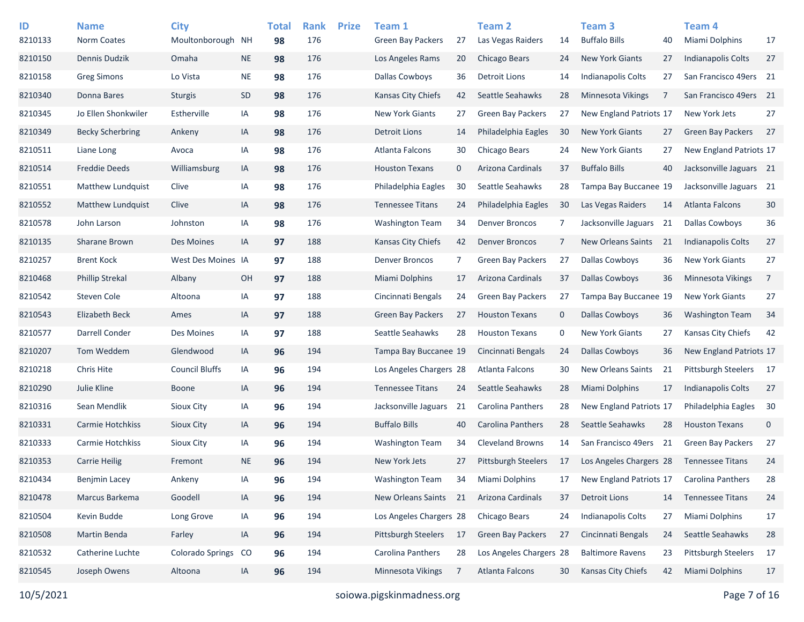| ID<br>8210133 | <b>Name</b><br>Norm Coates | <b>City</b><br>Moultonborough NH |           | <b>Total</b><br>98 | <b>Rank</b><br>176 | <b>Prize</b> | Team 1<br>Green Bay Packers | 27          | <b>Team 2</b><br>Las Vegas Raiders | 14          | Team <sub>3</sub><br><b>Buffalo Bills</b> | 40 | Team 4<br>Miami Dolphins   | 17          |
|---------------|----------------------------|----------------------------------|-----------|--------------------|--------------------|--------------|-----------------------------|-------------|------------------------------------|-------------|-------------------------------------------|----|----------------------------|-------------|
| 8210150       | Dennis Dudzik              | Omaha                            | <b>NE</b> | 98                 | 176                |              | Los Angeles Rams            | 20          | Chicago Bears                      | 24          | <b>New York Giants</b>                    | 27 | Indianapolis Colts         | 27          |
| 8210158       | <b>Greg Simons</b>         | Lo Vista                         | <b>NE</b> | 98                 | 176                |              | Dallas Cowboys              | 36          | Detroit Lions                      | 14          | <b>Indianapolis Colts</b>                 | 27 | San Francisco 49ers 21     |             |
| 8210340       | Donna Bares                | <b>Sturgis</b>                   | SD        | 98                 | 176                |              | <b>Kansas City Chiefs</b>   | 42          | Seattle Seahawks                   | 28          | <b>Minnesota Vikings</b>                  | 7  | San Francisco 49ers 21     |             |
| 8210345       | Jo Ellen Shonkwiler        | Estherville                      | IA        | 98                 | 176                |              | <b>New York Giants</b>      | 27          | <b>Green Bay Packers</b>           | 27          | New England Patriots 17                   |    | New York Jets              | 27          |
| 8210349       | <b>Becky Scherbring</b>    | Ankeny                           | IA        | 98                 | 176                |              | <b>Detroit Lions</b>        | 14          | Philadelphia Eagles                | 30          | <b>New York Giants</b>                    | 27 | <b>Green Bay Packers</b>   | 27          |
| 8210511       | Liane Long                 | Avoca                            | IA        | 98                 | 176                |              | Atlanta Falcons             | 30          | Chicago Bears                      | 24          | <b>New York Giants</b>                    | 27 | New England Patriots 17    |             |
| 8210514       | <b>Freddie Deeds</b>       | Williamsburg                     | IA        | 98                 | 176                |              | <b>Houston Texans</b>       | $\mathbf 0$ | Arizona Cardinals                  | 37          | <b>Buffalo Bills</b>                      | 40 | Jacksonville Jaguars 21    |             |
| 8210551       | <b>Matthew Lundquist</b>   | Clive                            | IA        | 98                 | 176                |              | Philadelphia Eagles         | 30          | Seattle Seahawks                   | 28          | Tampa Bay Buccanee 19                     |    | Jacksonville Jaguars 21    |             |
| 8210552       | <b>Matthew Lundquist</b>   | Clive                            | IA        | 98                 | 176                |              | <b>Tennessee Titans</b>     | 24          | Philadelphia Eagles                | 30          | Las Vegas Raiders                         | 14 | <b>Atlanta Falcons</b>     | 30          |
| 8210578       | John Larson                | Johnston                         | IA        | 98                 | 176                |              | <b>Washington Team</b>      | 34          | <b>Denver Broncos</b>              | 7           | Jacksonville Jaguars                      | 21 | <b>Dallas Cowboys</b>      | 36          |
| 8210135       | Sharane Brown              | Des Moines                       | IA        | 97                 | 188                |              | Kansas City Chiefs          | 42          | <b>Denver Broncos</b>              | 7           | <b>New Orleans Saints</b>                 | 21 | Indianapolis Colts         | 27          |
| 8210257       | <b>Brent Kock</b>          | West Des Moines IA               |           | 97                 | 188                |              | <b>Denver Broncos</b>       | 7           | <b>Green Bay Packers</b>           | 27          | Dallas Cowboys                            | 36 | <b>New York Giants</b>     | 27          |
| 8210468       | <b>Phillip Strekal</b>     | Albany                           | OH        | 97                 | 188                |              | Miami Dolphins              | 17          | Arizona Cardinals                  | 37          | <b>Dallas Cowboys</b>                     | 36 | Minnesota Vikings          | 7           |
| 8210542       | Steven Cole                | Altoona                          | IA        | 97                 | 188                |              | Cincinnati Bengals          | 24          | <b>Green Bay Packers</b>           | 27          | Tampa Bay Buccanee 19                     |    | <b>New York Giants</b>     | 27          |
| 8210543       | Elizabeth Beck             | Ames                             | IA        | 97                 | 188                |              | <b>Green Bay Packers</b>    | 27          | <b>Houston Texans</b>              | $\mathbf 0$ | <b>Dallas Cowboys</b>                     | 36 | <b>Washington Team</b>     | 34          |
| 8210577       | Darrell Conder             | Des Moines                       | IA        | 97                 | 188                |              | Seattle Seahawks            | 28          | <b>Houston Texans</b>              | 0           | <b>New York Giants</b>                    | 27 | Kansas City Chiefs         | 42          |
| 8210207       | Tom Weddem                 | Glendwood                        | IA        | 96                 | 194                |              | Tampa Bay Buccanee 19       |             | Cincinnati Bengals                 | 24          | Dallas Cowboys                            | 36 | New England Patriots 17    |             |
| 8210218       | Chris Hite                 | <b>Council Bluffs</b>            | IA        | 96                 | 194                |              | Los Angeles Chargers 28     |             | Atlanta Falcons                    | 30          | New Orleans Saints                        | 21 | <b>Pittsburgh Steelers</b> | 17          |
| 8210290       | Julie Kline                | <b>Boone</b>                     | IA        | 96                 | 194                |              | <b>Tennessee Titans</b>     | 24          | Seattle Seahawks                   | 28          | Miami Dolphins                            | 17 | Indianapolis Colts         | 27          |
| 8210316       | Sean Mendlik               | Sioux City                       | IA        | 96                 | 194                |              | Jacksonville Jaguars        | 21          | Carolina Panthers                  | 28          | New England Patriots 17                   |    | Philadelphia Eagles        | 30          |
| 8210331       | Carmie Hotchkiss           | Sioux City                       | IA        | 96                 | 194                |              | <b>Buffalo Bills</b>        | 40          | Carolina Panthers                  | 28          | Seattle Seahawks                          | 28 | <b>Houston Texans</b>      | $\mathbf 0$ |
| 8210333       | Carmie Hotchkiss           | Sioux City                       | IA        | 96                 | 194                |              | <b>Washington Team</b>      | 34          | <b>Cleveland Browns</b>            | 14          | San Francisco 49ers 21                    |    | <b>Green Bay Packers</b>   | 27          |
| 8210353       | <b>Carrie Heilig</b>       | Fremont                          | <b>NE</b> | 96                 | 194                |              | New York Jets               | 27          | <b>Pittsburgh Steelers</b>         | 17          | Los Angeles Chargers 28                   |    | <b>Tennessee Titans</b>    | 24          |
| 8210434       | <b>Benjmin Lacey</b>       | Ankeny                           | IA        | 96                 | 194                |              | <b>Washington Team</b>      | 34          | <b>Miami Dolphins</b>              | 17          | New England Patriots 17                   |    | Carolina Panthers          | 28          |
| 8210478       | Marcus Barkema             | Goodell                          | IA        | 96                 | 194                |              | New Orleans Saints          | 21          | Arizona Cardinals                  | 37          | <b>Detroit Lions</b>                      | 14 | <b>Tennessee Titans</b>    | 24          |
| 8210504       | Kevin Budde                | Long Grove                       | IA        | 96                 | 194                |              | Los Angeles Chargers 28     |             | Chicago Bears                      | 24          | Indianapolis Colts                        | 27 | Miami Dolphins             | 17          |
| 8210508       | Martin Benda               | Farley                           | IA        | 96                 | 194                |              | Pittsburgh Steelers         | 17          | Green Bay Packers                  | 27          | Cincinnati Bengals                        | 24 | Seattle Seahawks           | 28          |
| 8210532       | Catherine Luchte           | Colorado Springs                 | CO        | 96                 | 194                |              | Carolina Panthers           | 28          | Los Angeles Chargers 28            |             | <b>Baltimore Ravens</b>                   | 23 | <b>Pittsburgh Steelers</b> | 17          |
| 8210545       | Joseph Owens               | Altoona                          | IA        | 96                 | 194                |              | Minnesota Vikings           | 7           | Atlanta Falcons                    | 30          | Kansas City Chiefs                        | 42 | Miami Dolphins             | 17          |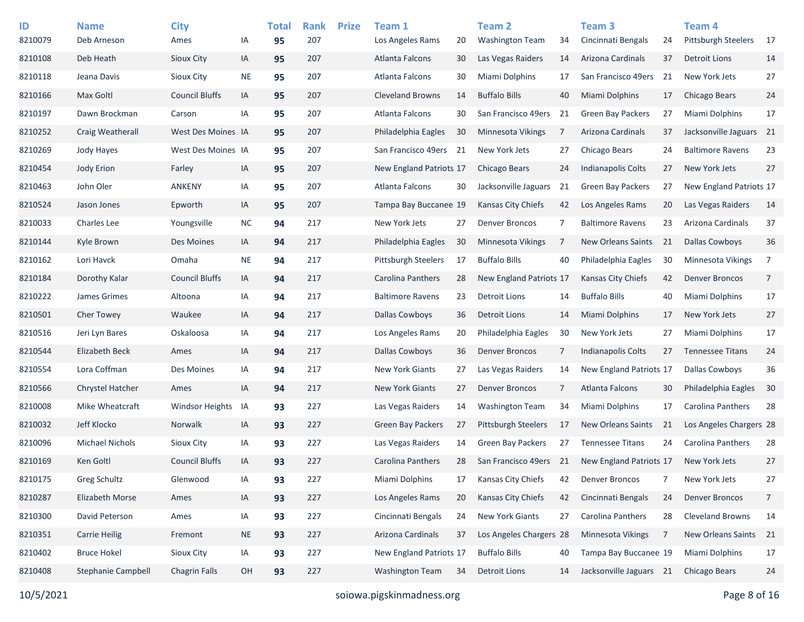| ID      | <b>Name</b>             | <b>City</b>            |           | <b>Total</b> | <b>Rank</b> | <b>Prize</b> | Team 1                     |    | <b>Team 2</b>              |    | Team <sub>3</sub>         |    | <b>Team 4</b>              |                 |
|---------|-------------------------|------------------------|-----------|--------------|-------------|--------------|----------------------------|----|----------------------------|----|---------------------------|----|----------------------------|-----------------|
| 8210079 | Deb Arneson             | Ames                   | ΙA        | 95           | 207         |              | Los Angeles Rams           | 20 | <b>Washington Team</b>     | 34 | Cincinnati Bengals        | 24 | <b>Pittsburgh Steelers</b> | 17              |
| 8210108 | Deb Heath               | Sioux City             | IA        | 95           | 207         |              | Atlanta Falcons            | 30 | Las Vegas Raiders          | 14 | Arizona Cardinals         | 37 | <b>Detroit Lions</b>       | 14              |
| 8210118 | Jeana Davis             | Sioux City             | NE        | 95           | 207         |              | Atlanta Falcons            | 30 | Miami Dolphins             | 17 | San Francisco 49ers       | 21 | New York Jets              | 27              |
| 8210166 | Max Goltl               | <b>Council Bluffs</b>  | IA        | 95           | 207         |              | <b>Cleveland Browns</b>    | 14 | <b>Buffalo Bills</b>       | 40 | Miami Dolphins            | 17 | <b>Chicago Bears</b>       | 24              |
| 8210197 | Dawn Brockman           | Carson                 | IA        | 95           | 207         |              | Atlanta Falcons            | 30 | San Francisco 49ers        | 21 | <b>Green Bay Packers</b>  | 27 | <b>Miami Dolphins</b>      | 17              |
| 8210252 | <b>Craig Weatherall</b> | West Des Moines IA     |           | 95           | 207         |              | Philadelphia Eagles        | 30 | Minnesota Vikings          | 7  | Arizona Cardinals         | 37 | Jacksonville Jaguars       | $\overline{21}$ |
| 8210269 | <b>Jody Hayes</b>       | West Des Moines IA     |           | 95           | 207         |              | San Francisco 49ers        | 21 | New York Jets              | 27 | Chicago Bears             | 24 | <b>Baltimore Ravens</b>    | 23              |
| 8210454 | Jody Erion              | Farley                 | IA        | 95           | 207         |              | New England Patriots 17    |    | Chicago Bears              | 24 | Indianapolis Colts        | 27 | New York Jets              | 27              |
| 8210463 | John Oler               | <b>ANKENY</b>          | IA        | 95           | 207         |              | Atlanta Falcons            | 30 | Jacksonville Jaguars       | 21 | <b>Green Bay Packers</b>  | 27 | New England Patriots 17    |                 |
| 8210524 | Jason Jones             | Epworth                | IA        | 95           | 207         |              | Tampa Bay Buccanee 19      |    | Kansas City Chiefs         | 42 | Los Angeles Rams          | 20 | Las Vegas Raiders          | 14              |
| 8210033 | <b>Charles Lee</b>      | Youngsville            | <b>NC</b> | 94           | 217         |              | New York Jets              | 27 | <b>Denver Broncos</b>      | 7  | <b>Baltimore Ravens</b>   | 23 | Arizona Cardinals          | 37              |
| 8210144 | Kyle Brown              | Des Moines             | IA        | 94           | 217         |              | Philadelphia Eagles        | 30 | Minnesota Vikings          | 7  | <b>New Orleans Saints</b> | 21 | <b>Dallas Cowboys</b>      | 36              |
| 8210162 | Lori Havck              | Omaha                  | <b>NE</b> | 94           | 217         |              | <b>Pittsburgh Steelers</b> | 17 | <b>Buffalo Bills</b>       | 40 | Philadelphia Eagles       | 30 | <b>Minnesota Vikings</b>   | 7               |
| 8210184 | Dorothy Kalar           | <b>Council Bluffs</b>  | IA        | 94           | 217         |              | Carolina Panthers          | 28 | New England Patriots 17    |    | Kansas City Chiefs        | 42 | <b>Denver Broncos</b>      | 7               |
| 8210222 | James Grimes            | Altoona                | IA        | 94           | 217         |              | <b>Baltimore Ravens</b>    | 23 | Detroit Lions              | 14 | <b>Buffalo Bills</b>      | 40 | Miami Dolphins             | 17              |
| 8210501 | <b>Cher Towey</b>       | Waukee                 | IA        | 94           | 217         |              | Dallas Cowboys             | 36 | Detroit Lions              | 14 | Miami Dolphins            | 17 | New York Jets              | 27              |
| 8210516 | Jeri Lyn Bares          | Oskaloosa              | IA        | 94           | 217         |              | Los Angeles Rams           | 20 | Philadelphia Eagles        | 30 | New York Jets             | 27 | Miami Dolphins             | 17              |
| 8210544 | Elizabeth Beck          | Ames                   | IA        | 94           | 217         |              | <b>Dallas Cowboys</b>      | 36 | <b>Denver Broncos</b>      | 7  | <b>Indianapolis Colts</b> | 27 | <b>Tennessee Titans</b>    | 24              |
| 8210554 | Lora Coffman            | Des Moines             | IA        | 94           | 217         |              | <b>New York Giants</b>     | 27 | Las Vegas Raiders          | 14 | New England Patriots 17   |    | <b>Dallas Cowboys</b>      | 36              |
| 8210566 | Chrystel Hatcher        | Ames                   | IA        | 94           | 217         |              | <b>New York Giants</b>     | 27 | <b>Denver Broncos</b>      | 7  | Atlanta Falcons           | 30 | Philadelphia Eagles        | 30              |
| 8210008 | Mike Wheatcraft         | <b>Windsor Heights</b> | IA        | 93           | 227         |              | Las Vegas Raiders          | 14 | <b>Washington Team</b>     | 34 | Miami Dolphins            | 17 | Carolina Panthers          | 28              |
| 8210032 | Jeff Klocko             | Norwalk                | IA        | 93           | 227         |              | <b>Green Bay Packers</b>   | 27 | <b>Pittsburgh Steelers</b> | 17 | <b>New Orleans Saints</b> | 21 | Los Angeles Chargers 28    |                 |
| 8210096 | <b>Michael Nichols</b>  | <b>Sioux City</b>      | IA        | 93           | 227         |              | Las Vegas Raiders          | 14 | <b>Green Bay Packers</b>   | 27 | <b>Tennessee Titans</b>   | 24 | <b>Carolina Panthers</b>   | 28              |
| 8210169 | Ken Goltl               | <b>Council Bluffs</b>  | IA        | 93           | 227         |              | <b>Carolina Panthers</b>   | 28 | San Francisco 49ers        | 21 | New England Patriots 17   |    | New York Jets              | 27              |
| 8210175 | Greg Schultz            | Glenwood               | IA        | 93           | 227         |              | Miami Dolphins             | 17 | Kansas City Chiefs         | 42 | <b>Denver Broncos</b>     | 7  | New York Jets              | 27              |
| 8210287 | Elizabeth Morse         | Ames                   | IA        | 93           | 227         |              | Los Angeles Rams           | 20 | Kansas City Chiefs         | 42 | Cincinnati Bengals        | 24 | <b>Denver Broncos</b>      | 7               |
| 8210300 | David Peterson          | Ames                   | IA        | 93           | 227         |              | Cincinnati Bengals         | 24 | New York Giants            | 27 | Carolina Panthers         | 28 | <b>Cleveland Browns</b>    | 14              |
| 8210351 | <b>Carrie Heilig</b>    | Fremont                | <b>NE</b> | 93           | 227         |              | Arizona Cardinals          | 37 | Los Angeles Chargers 28    |    | Minnesota Vikings         | 7  | New Orleans Saints         | 21              |
| 8210402 | <b>Bruce Hokel</b>      | Sioux City             | IA        | 93           | 227         |              | New England Patriots 17    |    | <b>Buffalo Bills</b>       | 40 | Tampa Bay Buccanee 19     |    | Miami Dolphins             | 17              |
| 8210408 | Stephanie Campbell      | <b>Chagrin Falls</b>   | OH        | 93           | 227         |              | <b>Washington Team</b>     | 34 | <b>Detroit Lions</b>       | 14 | Jacksonville Jaguars 21   |    | Chicago Bears              | 24              |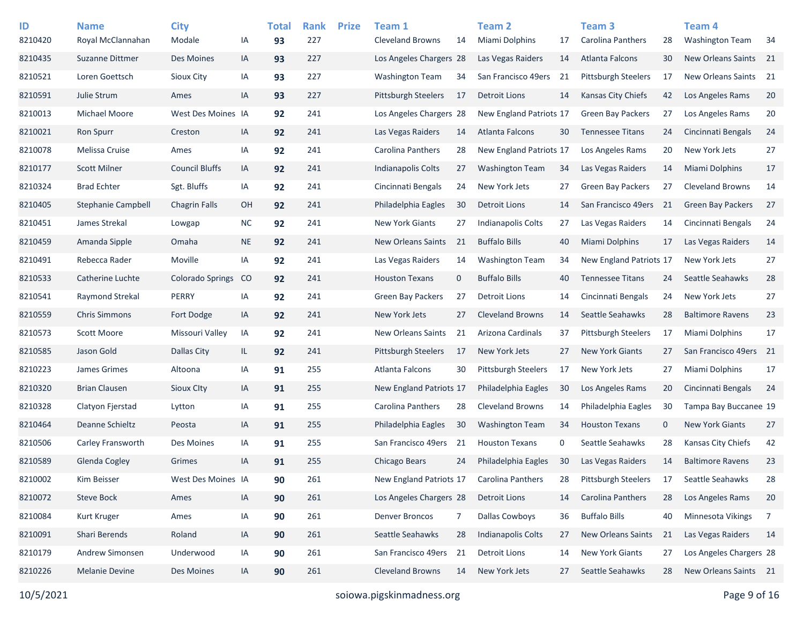| ID<br>8210420 | <b>Name</b><br>Royal McClannahan | <b>City</b><br>Modale | ΙA        | <b>Total</b><br>93 | <b>Rank</b><br>227 | <b>Prize</b> | Team 1<br><b>Cleveland Browns</b> | 14          | <b>Team 2</b><br>Miami Dolphins | 17 | Team <sub>3</sub><br><b>Carolina Panthers</b> | 28          | Team <sub>4</sub><br><b>Washington Team</b> | 34              |
|---------------|----------------------------------|-----------------------|-----------|--------------------|--------------------|--------------|-----------------------------------|-------------|---------------------------------|----|-----------------------------------------------|-------------|---------------------------------------------|-----------------|
| 8210435       | Suzanne Dittmer                  | Des Moines            | IA        | 93                 | 227                |              | Los Angeles Chargers 28           |             | Las Vegas Raiders               | 14 | Atlanta Falcons                               | 30          | <b>New Orleans Saints</b>                   | 21              |
| 8210521       | Loren Goettsch                   | Sioux City            | IA        | 93                 | 227                |              | Washington Team                   | 34          | San Francisco 49ers             | 21 | <b>Pittsburgh Steelers</b>                    | 17          | New Orleans Saints                          | 21              |
| 8210591       | Julie Strum                      | Ames                  | IA        | 93                 | 227                |              | <b>Pittsburgh Steelers</b>        | 17          | Detroit Lions                   | 14 | Kansas City Chiefs                            | 42          | Los Angeles Rams                            | 20              |
| 8210013       | Michael Moore                    | West Des Moines IA    |           | 92                 | 241                |              | Los Angeles Chargers 28           |             | New England Patriots 17         |    | <b>Green Bay Packers</b>                      | 27          | Los Angeles Rams                            | 20              |
| 8210021       | <b>Ron Spurr</b>                 | Creston               | IA        | 92                 | 241                |              | Las Vegas Raiders                 | 14          | Atlanta Falcons                 | 30 | <b>Tennessee Titans</b>                       | 24          | Cincinnati Bengals                          | 24              |
| 8210078       | Melissa Cruise                   | Ames                  | IA        | 92                 | 241                |              | Carolina Panthers                 | 28          | New England Patriots 17         |    | Los Angeles Rams                              | 20          | New York Jets                               | 27              |
| 8210177       | <b>Scott Milner</b>              | <b>Council Bluffs</b> | IA        | 92                 | 241                |              | Indianapolis Colts                | 27          | <b>Washington Team</b>          | 34 | Las Vegas Raiders                             | 14          | <b>Miami Dolphins</b>                       | 17              |
| 8210324       | <b>Brad Echter</b>               | Sgt. Bluffs           | IA        | 92                 | 241                |              | Cincinnati Bengals                | 24          | New York Jets                   | 27 | <b>Green Bay Packers</b>                      | 27          | <b>Cleveland Browns</b>                     | 14              |
| 8210405       | Stephanie Campbell               | <b>Chagrin Falls</b>  | OH        | 92                 | 241                |              | Philadelphia Eagles               | 30          | <b>Detroit Lions</b>            | 14 | San Francisco 49ers                           | 21          | <b>Green Bay Packers</b>                    | 27              |
| 8210451       | James Strekal                    | Lowgap                | <b>NC</b> | 92                 | 241                |              | New York Giants                   | 27          | Indianapolis Colts              | 27 | Las Vegas Raiders                             | 14          | Cincinnati Bengals                          | 24              |
| 8210459       | Amanda Sipple                    | Omaha                 | <b>NE</b> | 92                 | 241                |              | <b>New Orleans Saints</b>         | 21          | <b>Buffalo Bills</b>            | 40 | <b>Miami Dolphins</b>                         | 17          | Las Vegas Raiders                           | 14              |
| 8210491       | Rebecca Rader                    | Moville               | IA        | 92                 | 241                |              | Las Vegas Raiders                 | 14          | <b>Washington Team</b>          | 34 | New England Patriots 17                       |             | New York Jets                               | 27              |
| 8210533       | Catherine Luchte                 | Colorado Springs      | CO        | 92                 | 241                |              | <b>Houston Texans</b>             | $\mathbf 0$ | <b>Buffalo Bills</b>            | 40 | <b>Tennessee Titans</b>                       | 24          | Seattle Seahawks                            | 28              |
| 8210541       | Raymond Strekal                  | PERRY                 | IA        | 92                 | 241                |              | <b>Green Bay Packers</b>          | 27          | Detroit Lions                   | 14 | Cincinnati Bengals                            | 24          | New York Jets                               | 27              |
| 8210559       | <b>Chris Simmons</b>             | Fort Dodge            | IA        | 92                 | 241                |              | New York Jets                     | 27          | <b>Cleveland Browns</b>         | 14 | Seattle Seahawks                              | 28          | <b>Baltimore Ravens</b>                     | 23              |
| 8210573       | Scott Moore                      | Missouri Valley       | IA        | 92                 | 241                |              | <b>New Orleans Saints</b>         | 21          | Arizona Cardinals               | 37 | <b>Pittsburgh Steelers</b>                    | 17          | Miami Dolphins                              | 17              |
| 8210585       | Jason Gold                       | Dallas City           | IL.       | 92                 | 241                |              | <b>Pittsburgh Steelers</b>        | 17          | New York Jets                   | 27 | <b>New York Giants</b>                        | 27          | San Francisco 49ers                         | $\overline{21}$ |
| 8210223       | James Grimes                     | Altoona               | IA        | 91                 | 255                |              | Atlanta Falcons                   | 30          | <b>Pittsburgh Steelers</b>      | 17 | New York Jets                                 | 27          | Miami Dolphins                              | 17              |
| 8210320       | <b>Brian Clausen</b>             | Sioux City            | IA        | 91                 | 255                |              | New England Patriots 17           |             | Philadelphia Eagles             | 30 | Los Angeles Rams                              | 20          | Cincinnati Bengals                          | 24              |
| 8210328       | Clatyon Fjerstad                 | Lytton                | IA        | 91                 | 255                |              | Carolina Panthers                 | 28          | <b>Cleveland Browns</b>         | 14 | Philadelphia Eagles                           | 30          | Tampa Bay Buccanee 19                       |                 |
| 8210464       | Deanne Schieltz                  | Peosta                | IA        | 91                 | 255                |              | Philadelphia Eagles               | 30          | <b>Washington Team</b>          | 34 | <b>Houston Texans</b>                         | $\mathbf 0$ | <b>New York Giants</b>                      | 27              |
| 8210506       | Carley Fransworth                | Des Moines            | IA        | 91                 | 255                |              | San Francisco 49ers               | 21          | <b>Houston Texans</b>           | 0  | Seattle Seahawks                              | 28          | Kansas City Chiefs                          | 42              |
| 8210589       | Glenda Cogley                    | Grimes                | IA        | 91                 | 255                |              | Chicago Bears                     | 24          | Philadelphia Eagles             | 30 | Las Vegas Raiders                             | 14          | <b>Baltimore Ravens</b>                     | 23              |
| 8210002       | Kim Beisser                      | West Des Moines IA    |           | 90                 | 261                |              | New England Patriots 17           |             | <b>Carolina Panthers</b>        | 28 | <b>Pittsburgh Steelers</b>                    | 17          | Seattle Seahawks                            | 28              |
| 8210072       | Steve Bock                       | Ames                  | IA        | 90                 | 261                |              | Los Angeles Chargers 28           |             | <b>Detroit Lions</b>            | 14 | Carolina Panthers                             | 28          | Los Angeles Rams                            | 20              |
| 8210084       | Kurt Kruger                      | Ames                  | IA        | 90                 | 261                |              | <b>Denver Broncos</b>             | 7           | <b>Dallas Cowboys</b>           | 36 | <b>Buffalo Bills</b>                          | 40          | <b>Minnesota Vikings</b>                    | -7              |
| 8210091       | Shari Berends                    | Roland                | IA        | 90                 | 261                |              | Seattle Seahawks                  | 28          | <b>Indianapolis Colts</b>       | 27 | <b>New Orleans Saints</b>                     | 21          | Las Vegas Raiders                           | 14              |
| 8210179       | Andrew Simonsen                  | Underwood             | IA        | 90                 | 261                |              | San Francisco 49ers               | 21          | <b>Detroit Lions</b>            | 14 | <b>New York Giants</b>                        | 27          | Los Angeles Chargers 28                     |                 |
| 8210226       | <b>Melanie Devine</b>            | Des Moines            | IA        | 90                 | 261                |              | <b>Cleveland Browns</b>           | 14          | New York Jets                   | 27 | Seattle Seahawks                              | 28          | New Orleans Saints 21                       |                 |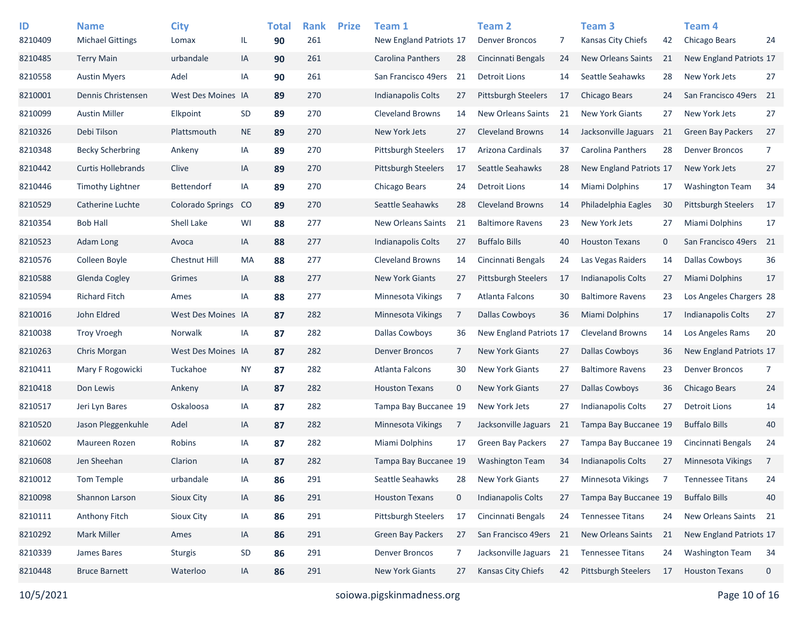| ID<br>8210409 | <b>Name</b><br><b>Michael Gittings</b> | <b>City</b><br>Lomax | IL.       | <b>Total</b><br>90 | <b>Rank</b><br>261 | <b>Prize</b> | Team 1<br>New England Patriots 17 |                | <b>Team 2</b><br><b>Denver Broncos</b> | 7  | Team <sub>3</sub><br>Kansas City Chiefs | 42          | Team <sub>4</sub><br>Chicago Bears | 24              |
|---------------|----------------------------------------|----------------------|-----------|--------------------|--------------------|--------------|-----------------------------------|----------------|----------------------------------------|----|-----------------------------------------|-------------|------------------------------------|-----------------|
| 8210485       | <b>Terry Main</b>                      | urbandale            | IA        | 90                 | 261                |              | Carolina Panthers                 | 28             | Cincinnati Bengals                     | 24 | <b>New Orleans Saints</b>               | 21          | New England Patriots 17            |                 |
| 8210558       | <b>Austin Myers</b>                    | Adel                 | IA        | 90                 | 261                |              | San Francisco 49ers               | 21             | Detroit Lions                          | 14 | Seattle Seahawks                        | 28          | New York Jets                      | 27              |
| 8210001       | Dennis Christensen                     | West Des Moines IA   |           | 89                 | 270                |              | Indianapolis Colts                | 27             | <b>Pittsburgh Steelers</b>             | 17 | Chicago Bears                           | 24          | San Francisco 49ers                | 21              |
| 8210099       | <b>Austin Miller</b>                   | Elkpoint             | <b>SD</b> | 89                 | 270                |              | <b>Cleveland Browns</b>           | 14             | New Orleans Saints                     | 21 | <b>New York Giants</b>                  | 27          | New York Jets                      | 27              |
| 8210326       | Debi Tilson                            | Plattsmouth          | <b>NE</b> | 89                 | 270                |              | New York Jets                     | 27             | <b>Cleveland Browns</b>                | 14 | Jacksonville Jaguars                    | 21          | <b>Green Bay Packers</b>           | 27              |
| 8210348       | <b>Becky Scherbring</b>                | Ankeny               | IA        | 89                 | 270                |              | <b>Pittsburgh Steelers</b>        | 17             | Arizona Cardinals                      | 37 | Carolina Panthers                       | 28          | <b>Denver Broncos</b>              | 7               |
| 8210442       | <b>Curtis Hollebrands</b>              | Clive                | IA        | 89                 | 270                |              | <b>Pittsburgh Steelers</b>        | 17             | Seattle Seahawks                       | 28 | New England Patriots 17                 |             | New York Jets                      | 27              |
| 8210446       | <b>Timothy Lightner</b>                | Bettendorf           | IA        | 89                 | 270                |              | Chicago Bears                     | 24             | <b>Detroit Lions</b>                   | 14 | <b>Miami Dolphins</b>                   | 17          | <b>Washington Team</b>             | 34              |
| 8210529       | Catherine Luchte                       | Colorado Springs     | CO        | 89                 | 270                |              | Seattle Seahawks                  | 28             | <b>Cleveland Browns</b>                | 14 | Philadelphia Eagles                     | 30          | Pittsburgh Steelers                | 17              |
| 8210354       | <b>Bob Hall</b>                        | Shell Lake           | WI        | 88                 | 277                |              | <b>New Orleans Saints</b>         | 21             | <b>Baltimore Ravens</b>                | 23 | New York Jets                           | 27          | <b>Miami Dolphins</b>              | 17              |
| 8210523       | Adam Long                              | Avoca                | IA        | 88                 | 277                |              | Indianapolis Colts                | 27             | <b>Buffalo Bills</b>                   | 40 | <b>Houston Texans</b>                   | $\mathbf 0$ | San Francisco 49ers                | $\overline{21}$ |
| 8210576       | Colleen Boyle                          | Chestnut Hill        | MA        | 88                 | 277                |              | <b>Cleveland Browns</b>           | 14             | Cincinnati Bengals                     | 24 | Las Vegas Raiders                       | 14          | <b>Dallas Cowboys</b>              | 36              |
| 8210588       | Glenda Cogley                          | Grimes               | IA        | 88                 | 277                |              | <b>New York Giants</b>            | 27             | Pittsburgh Steelers                    | 17 | Indianapolis Colts                      | 27          | <b>Miami Dolphins</b>              | 17              |
| 8210594       | <b>Richard Fitch</b>                   | Ames                 | IA        | 88                 | 277                |              | Minnesota Vikings                 | 7              | Atlanta Falcons                        | 30 | <b>Baltimore Ravens</b>                 | 23          | Los Angeles Chargers 28            |                 |
| 8210016       | John Eldred                            | West Des Moines IA   |           | 87                 | 282                |              | Minnesota Vikings                 | 7              | <b>Dallas Cowboys</b>                  | 36 | Miami Dolphins                          | 17          | <b>Indianapolis Colts</b>          | 27              |
| 8210038       | <b>Troy Vroegh</b>                     | Norwalk              | IA        | 87                 | 282                |              | Dallas Cowboys                    | 36             | New England Patriots 17                |    | <b>Cleveland Browns</b>                 | 14          | Los Angeles Rams                   | 20              |
| 8210263       | Chris Morgan                           | West Des Moines IA   |           | 87                 | 282                |              | <b>Denver Broncos</b>             | $\overline{7}$ | <b>New York Giants</b>                 | 27 | <b>Dallas Cowboys</b>                   | 36          | New England Patriots 17            |                 |
| 8210411       | Mary F Rogowicki                       | Tuckahoe             | <b>NY</b> | 87                 | 282                |              | Atlanta Falcons                   | 30             | <b>New York Giants</b>                 | 27 | <b>Baltimore Ravens</b>                 | 23          | <b>Denver Broncos</b>              | 7               |
| 8210418       | Don Lewis                              | Ankeny               | IA        | 87                 | 282                |              | <b>Houston Texans</b>             | $\mathbf 0$    | <b>New York Giants</b>                 | 27 | <b>Dallas Cowboys</b>                   | 36          | Chicago Bears                      | 24              |
| 8210517       | Jeri Lyn Bares                         | Oskaloosa            | IA        | 87                 | 282                |              | Tampa Bay Buccanee 19             |                | New York Jets                          | 27 | Indianapolis Colts                      | 27          | <b>Detroit Lions</b>               | 14              |
| 8210520       | Jason Pleggenkuhle                     | Adel                 | IA        | 87                 | 282                |              | <b>Minnesota Vikings</b>          | 7              | Jacksonville Jaguars                   | 21 | Tampa Bay Buccanee 19                   |             | <b>Buffalo Bills</b>               | 40              |
| 8210602       | Maureen Rozen                          | Robins               | IA        | 87                 | 282                |              | Miami Dolphins                    | 17             | Green Bay Packers                      | 27 | Tampa Bay Buccanee 19                   |             | Cincinnati Bengals                 | 24              |
| 8210608       | Jen Sheehan                            | Clarion              | IA        | 87                 | 282                |              | Tampa Bay Buccanee 19             |                | <b>Washington Team</b>                 | 34 | <b>Indianapolis Colts</b>               | 27          | <b>Minnesota Vikings</b>           | $\overline{7}$  |
| 8210012       | Tom Temple                             | urbandale            | IA        | 86                 | 291                |              | Seattle Seahawks                  | 28             | <b>New York Giants</b>                 | 27 | Minnesota Vikings                       | 7           | <b>Tennessee Titans</b>            | 24              |
| 8210098       | Shannon Larson                         | Sioux City           | IA        | 86                 | 291                |              | <b>Houston Texans</b>             | $\mathbf 0$    | Indianapolis Colts                     | 27 | Tampa Bay Buccanee 19                   |             | <b>Buffalo Bills</b>               | 40              |
| 8210111       | Anthony Fitch                          | Sioux City           | IA        | 86                 | 291                |              | <b>Pittsburgh Steelers</b>        | 17             | Cincinnati Bengals                     | 24 | <b>Tennessee Titans</b>                 | 24          | New Orleans Saints 21              |                 |
| 8210292       | Mark Miller                            | Ames                 | IA        | 86                 | 291                |              | Green Bay Packers                 | 27             | San Francisco 49ers                    | 21 | <b>New Orleans Saints</b>               | 21          | New England Patriots 17            |                 |
| 8210339       | James Bares                            | <b>Sturgis</b>       | SD        | 86                 | 291                |              | <b>Denver Broncos</b>             | $\overline{7}$ | Jacksonville Jaguars 21                |    | <b>Tennessee Titans</b>                 | 24          | <b>Washington Team</b>             | 34              |
| 8210448       | <b>Bruce Barnett</b>                   | Waterloo             | IA        | 86                 | 291                |              | New York Giants                   | 27             | Kansas City Chiefs                     | 42 | Pittsburgh Steelers                     | 17          | <b>Houston Texans</b>              | 0               |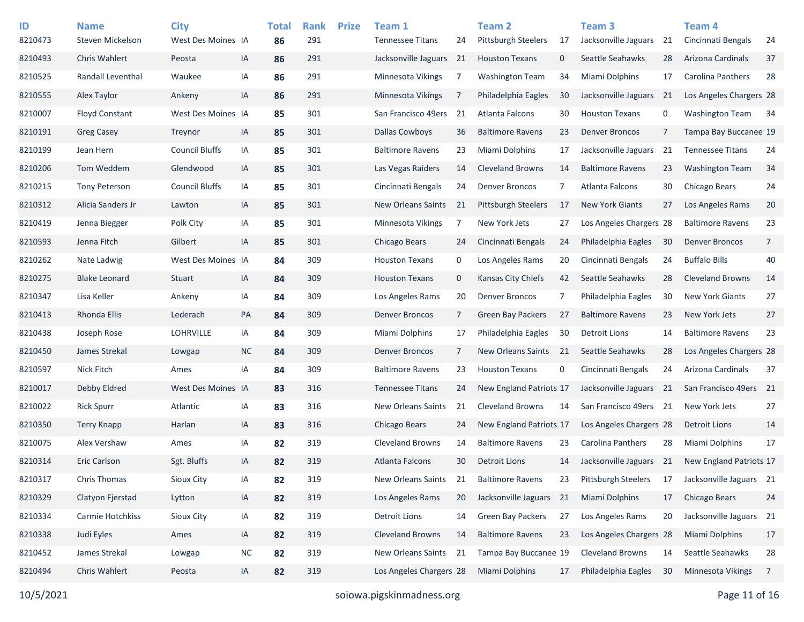| ID      | <b>Name</b>           | <b>City</b>           |           | <b>Total</b> | <b>Rank</b> | <b>Prize</b> | Team 1                    |                | Team <sub>2</sub>          |    | Team <sub>3</sub>          |    | Team 4                  |                 |
|---------|-----------------------|-----------------------|-----------|--------------|-------------|--------------|---------------------------|----------------|----------------------------|----|----------------------------|----|-------------------------|-----------------|
| 8210473 | Steven Mickelson      | West Des Moines IA    |           | 86           | 291         |              | <b>Tennessee Titans</b>   | 24             | <b>Pittsburgh Steelers</b> | 17 | Jacksonville Jaguars       | 21 | Cincinnati Bengals      | 24              |
| 8210493 | <b>Chris Wahlert</b>  | Peosta                | IA        | 86           | 291         |              | Jacksonville Jaguars      | 21             | <b>Houston Texans</b>      | 0  | Seattle Seahawks           | 28 | Arizona Cardinals       | 37              |
| 8210525 | Randall Leventhal     | Waukee                | IA        | 86           | 291         |              | <b>Minnesota Vikings</b>  | 7              | <b>Washington Team</b>     | 34 | Miami Dolphins             | 17 | Carolina Panthers       | 28              |
| 8210555 | Alex Taylor           | Ankeny                | IA        | 86           | 291         |              | Minnesota Vikings         | 7              | Philadelphia Eagles        | 30 | Jacksonville Jaguars       | 21 | Los Angeles Chargers 28 |                 |
| 8210007 | <b>Floyd Constant</b> | West Des Moines IA    |           | 85           | 301         |              | San Francisco 49ers       | 21             | Atlanta Falcons            | 30 | <b>Houston Texans</b>      | 0  | <b>Washington Team</b>  | 34              |
| 8210191 | <b>Greg Casey</b>     | Treynor               | IA        | 85           | 301         |              | <b>Dallas Cowboys</b>     | 36             | <b>Baltimore Ravens</b>    | 23 | <b>Denver Broncos</b>      | 7  | Tampa Bay Buccanee 19   |                 |
| 8210199 | Jean Hern             | <b>Council Bluffs</b> | IA        | 85           | 301         |              | <b>Baltimore Ravens</b>   | 23             | Miami Dolphins             | 17 | Jacksonville Jaguars       | 21 | <b>Tennessee Titans</b> | 24              |
| 8210206 | Tom Weddem            | Glendwood             | IA        | 85           | 301         |              | Las Vegas Raiders         | 14             | <b>Cleveland Browns</b>    | 14 | <b>Baltimore Ravens</b>    | 23 | <b>Washington Team</b>  | 34              |
| 8210215 | <b>Tony Peterson</b>  | <b>Council Bluffs</b> | IA        | 85           | 301         |              | Cincinnati Bengals        | 24             | <b>Denver Broncos</b>      | 7  | Atlanta Falcons            | 30 | Chicago Bears           | 24              |
| 8210312 | Alicia Sanders Jr     | Lawton                | IA        | 85           | 301         |              | <b>New Orleans Saints</b> | 21             | <b>Pittsburgh Steelers</b> | 17 | <b>New York Giants</b>     | 27 | Los Angeles Rams        | 20              |
| 8210419 | Jenna Biegger         | Polk City             | IA        | 85           | 301         |              | <b>Minnesota Vikings</b>  | 7              | New York Jets              | 27 | Los Angeles Chargers 28    |    | <b>Baltimore Ravens</b> | 23              |
| 8210593 | Jenna Fitch           | Gilbert               | IA        | 85           | 301         |              | Chicago Bears             | 24             | Cincinnati Bengals         | 24 | Philadelphia Eagles        | 30 | <b>Denver Broncos</b>   | $\overline{7}$  |
| 8210262 | Nate Ladwig           | West Des Moines IA    |           | 84           | 309         |              | <b>Houston Texans</b>     | 0              | Los Angeles Rams           | 20 | Cincinnati Bengals         | 24 | <b>Buffalo Bills</b>    | 40              |
| 8210275 | <b>Blake Leonard</b>  | Stuart                | IA        | 84           | 309         |              | <b>Houston Texans</b>     | $\mathbf 0$    | Kansas City Chiefs         | 42 | Seattle Seahawks           | 28 | <b>Cleveland Browns</b> | 14              |
| 8210347 | Lisa Keller           | Ankeny                | IA        | 84           | 309         |              | Los Angeles Rams          | 20             | <b>Denver Broncos</b>      | 7  | Philadelphia Eagles        | 30 | <b>New York Giants</b>  | 27              |
| 8210413 | Rhonda Ellis          | Lederach              | PA        | 84           | 309         |              | <b>Denver Broncos</b>     | $\overline{7}$ | <b>Green Bay Packers</b>   | 27 | <b>Baltimore Ravens</b>    | 23 | New York Jets           | 27              |
| 8210438 | Joseph Rose           | <b>LOHRVILLE</b>      | IA        | 84           | 309         |              | Miami Dolphins            | 17             | Philadelphia Eagles        | 30 | <b>Detroit Lions</b>       | 14 | <b>Baltimore Ravens</b> | 23              |
| 8210450 | James Strekal         | Lowgap                | <b>NC</b> | 84           | 309         |              | <b>Denver Broncos</b>     | $\overline{7}$ | <b>New Orleans Saints</b>  | 21 | Seattle Seahawks           | 28 | Los Angeles Chargers 28 |                 |
| 8210597 | <b>Nick Fitch</b>     | Ames                  | IA        | 84           | 309         |              | <b>Baltimore Ravens</b>   | 23             | <b>Houston Texans</b>      | 0  | Cincinnati Bengals         | 24 | Arizona Cardinals       | 37              |
| 8210017 | Debby Eldred          | West Des Moines IA    |           | 83           | 316         |              | <b>Tennessee Titans</b>   | 24             | New England Patriots 17    |    | Jacksonville Jaguars       | 21 | San Francisco 49ers     | $\overline{21}$ |
| 8210022 | <b>Rick Spurr</b>     | Atlantic              | IA        | 83           | 316         |              | <b>New Orleans Saints</b> | 21             | <b>Cleveland Browns</b>    | 14 | San Francisco 49ers 21     |    | New York Jets           | 27              |
| 8210350 | <b>Terry Knapp</b>    | Harlan                | IA        | 83           | 316         |              | Chicago Bears             | 24             | New England Patriots 17    |    | Los Angeles Chargers 28    |    | <b>Detroit Lions</b>    | 14              |
| 8210075 | Alex Vershaw          | Ames                  | IA        | 82           | 319         |              | <b>Cleveland Browns</b>   | 14             | <b>Baltimore Ravens</b>    | 23 | <b>Carolina Panthers</b>   | 28 | <b>Miami Dolphins</b>   | 17              |
| 8210314 | Eric Carlson          | Sgt. Bluffs           | IA        | 82           | 319         |              | Atlanta Falcons           | 30             | Detroit Lions              | 14 | Jacksonville Jaguars 21    |    | New England Patriots 17 |                 |
| 8210317 | <b>Chris Thomas</b>   | Sioux City            | IA        | 82           | 319         |              | New Orleans Saints        | 21             | <b>Baltimore Ravens</b>    | 23 | <b>Pittsburgh Steelers</b> | 17 | Jacksonville Jaguars 21 |                 |
| 8210329 | Clatyon Fjerstad      | Lytton                | IA        | 82           | 319         |              | Los Angeles Rams          | 20             | Jacksonville Jaguars 21    |    | Miami Dolphins             | 17 | Chicago Bears           | 24              |
| 8210334 | Carmie Hotchkiss      | Sioux City            | IA        | 82           | 319         |              | <b>Detroit Lions</b>      | 14             | Green Bay Packers          | 27 | Los Angeles Rams           | 20 | Jacksonville Jaguars 21 |                 |
| 8210338 | Judi Eyles            | Ames                  | IA        | 82           | 319         |              | <b>Cleveland Browns</b>   | 14             | <b>Baltimore Ravens</b>    | 23 | Los Angeles Chargers 28    |    | Miami Dolphins          | 17              |
| 8210452 | James Strekal         | Lowgap                | NC        | 82           | 319         |              | New Orleans Saints        | 21             | Tampa Bay Buccanee 19      |    | Cleveland Browns           | 14 | Seattle Seahawks        | 28              |
| 8210494 | Chris Wahlert         | Peosta                | IA        | 82           | 319         |              | Los Angeles Chargers 28   |                | <b>Miami Dolphins</b>      | 17 | Philadelphia Eagles        | 30 | Minnesota Vikings       | 7               |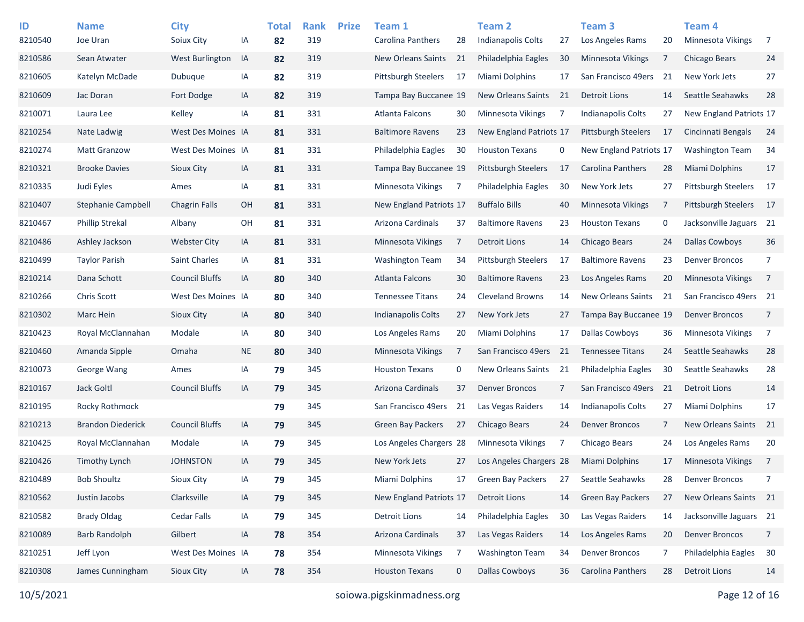| ID<br>8210540 | <b>Name</b><br>Joe Uran  | <b>City</b><br>Soiux City | IA        | <b>Total</b><br>82 | <b>Rank</b><br>319 | <b>Prize</b> | Team 1<br>Carolina Panthers | 28             | <b>Team 2</b><br>Indianapolis Colts | 27 | Team <sub>3</sub><br>Los Angeles Rams | 20 | Team 4<br><b>Minnesota Vikings</b> | - 7            |
|---------------|--------------------------|---------------------------|-----------|--------------------|--------------------|--------------|-----------------------------|----------------|-------------------------------------|----|---------------------------------------|----|------------------------------------|----------------|
| 8210586       | Sean Atwater             | <b>West Burlington</b>    | IA        | 82                 | 319                |              | <b>New Orleans Saints</b>   | 21             | Philadelphia Eagles                 | 30 | <b>Minnesota Vikings</b>              | 7  | <b>Chicago Bears</b>               | 24             |
| 8210605       | Katelyn McDade           | Dubuque                   | IA        | 82                 | 319                |              | <b>Pittsburgh Steelers</b>  | 17             | Miami Dolphins                      | 17 | San Francisco 49ers                   | 21 | New York Jets                      | 27             |
| 8210609       | Jac Doran                | Fort Dodge                | IA        | 82                 | 319                |              | Tampa Bay Buccanee 19       |                | <b>New Orleans Saints</b>           | 21 | <b>Detroit Lions</b>                  | 14 | Seattle Seahawks                   | 28             |
| 8210071       | Laura Lee                | Kelley                    | IA        | 81                 | 331                |              | Atlanta Falcons             | 30             | Minnesota Vikings                   | 7  | <b>Indianapolis Colts</b>             | 27 | New England Patriots 17            |                |
| 8210254       | Nate Ladwig              | West Des Moines IA        |           | 81                 | 331                |              | <b>Baltimore Ravens</b>     | 23             | New England Patriots 17             |    | <b>Pittsburgh Steelers</b>            | 17 | Cincinnati Bengals                 | 24             |
| 8210274       | <b>Matt Granzow</b>      | West Des Moines IA        |           | 81                 | 331                |              | Philadelphia Eagles         | 30             | <b>Houston Texans</b>               | 0  | New England Patriots 17               |    | <b>Washington Team</b>             | 34             |
| 8210321       | <b>Brooke Davies</b>     | Sioux City                | IA        | 81                 | 331                |              | Tampa Bay Buccanee 19       |                | <b>Pittsburgh Steelers</b>          | 17 | Carolina Panthers                     | 28 | Miami Dolphins                     | 17             |
| 8210335       | Judi Eyles               | Ames                      | IA        | 81                 | 331                |              | Minnesota Vikings           | 7              | Philadelphia Eagles                 | 30 | New York Jets                         | 27 | <b>Pittsburgh Steelers</b>         | 17             |
| 8210407       | Stephanie Campbell       | <b>Chagrin Falls</b>      | OH        | 81                 | 331                |              | New England Patriots 17     |                | <b>Buffalo Bills</b>                | 40 | Minnesota Vikings                     | 7  | <b>Pittsburgh Steelers</b>         | 17             |
| 8210467       | <b>Phillip Strekal</b>   | Albany                    | OH        | 81                 | 331                |              | Arizona Cardinals           | 37             | <b>Baltimore Ravens</b>             | 23 | <b>Houston Texans</b>                 | 0  | Jacksonville Jaguars 21            |                |
|               |                          |                           |           |                    | 331                |              | Minnesota Vikings           | $\overline{7}$ | Detroit Lions                       | 14 |                                       | 24 | <b>Dallas Cowboys</b>              | 36             |
| 8210486       | Ashley Jackson           | <b>Webster City</b>       | IA        | 81                 |                    |              |                             |                |                                     |    | Chicago Bears                         |    |                                    |                |
| 8210499       | <b>Taylor Parish</b>     | Saint Charles             | IA        | 81                 | 331                |              | <b>Washington Team</b>      | 34             | <b>Pittsburgh Steelers</b>          | 17 | <b>Baltimore Ravens</b>               | 23 | <b>Denver Broncos</b>              | 7              |
| 8210214       | Dana Schott              | <b>Council Bluffs</b>     | IA        | 80                 | 340                |              | <b>Atlanta Falcons</b>      | 30             | <b>Baltimore Ravens</b>             | 23 | Los Angeles Rams                      | 20 | <b>Minnesota Vikings</b>           | $\overline{7}$ |
| 8210266       | Chris Scott              | West Des Moines IA        |           | 80                 | 340                |              | <b>Tennessee Titans</b>     | 24             | <b>Cleveland Browns</b>             | 14 | New Orleans Saints                    | 21 | San Francisco 49ers 21             |                |
| 8210302       | Marc Hein                | <b>Sioux City</b>         | IA        | 80                 | 340                |              | Indianapolis Colts          | 27             | New York Jets                       | 27 | Tampa Bay Buccanee 19                 |    | <b>Denver Broncos</b>              | $\overline{7}$ |
| 8210423       | Royal McClannahan        | Modale                    | IA        | 80                 | 340                |              | Los Angeles Rams            | 20             | Miami Dolphins                      | 17 | <b>Dallas Cowboys</b>                 | 36 | <b>Minnesota Vikings</b>           | $\overline{7}$ |
| 8210460       | Amanda Sipple            | Omaha                     | <b>NE</b> | 80                 | 340                |              | <b>Minnesota Vikings</b>    | 7              | San Francisco 49ers                 | 21 | <b>Tennessee Titans</b>               | 24 | Seattle Seahawks                   | 28             |
| 8210073       | George Wang              | Ames                      | IA        | 79                 | 345                |              | <b>Houston Texans</b>       | 0              | New Orleans Saints                  | 21 | Philadelphia Eagles                   | 30 | Seattle Seahawks                   | 28             |
| 8210167       | Jack Goltl               | <b>Council Bluffs</b>     | IA        | 79                 | 345                |              | Arizona Cardinals           | 37             | <b>Denver Broncos</b>               | 7  | San Francisco 49ers                   | 21 | <b>Detroit Lions</b>               | 14             |
| 8210195       | Rocky Rothmock           |                           |           | 79                 | 345                |              | San Francisco 49ers         | 21             | Las Vegas Raiders                   | 14 | <b>Indianapolis Colts</b>             | 27 | Miami Dolphins                     | 17             |
| 8210213       | <b>Brandon Diederick</b> | <b>Council Bluffs</b>     | IA        | 79                 | 345                |              | <b>Green Bay Packers</b>    | 27             | Chicago Bears                       | 24 | <b>Denver Broncos</b>                 | 7  | New Orleans Saints                 | 21             |
| 8210425       | Royal McClannahan        | Modale                    | IA        | 79                 | 345                |              | Los Angeles Chargers 28     |                | Minnesota Vikings                   | 7  | Chicago Bears                         | 24 | Los Angeles Rams                   | 20             |
| 8210426       | <b>Timothy Lynch</b>     | <b>JOHNSTON</b>           | IA        | 79                 | 345                |              | New York Jets               | 27             | Los Angeles Chargers 28             |    | Miami Dolphins                        | 17 | <b>Minnesota Vikings</b>           | $\overline{7}$ |
| 8210489       | <b>Bob Shoultz</b>       | Sioux City                | IA        | 79                 | 345                |              | Miami Dolphins              | 17             | <b>Green Bay Packers</b>            | 27 | Seattle Seahawks                      | 28 | <b>Denver Broncos</b>              | 7              |
| 8210562       | Justin Jacobs            | Clarksville               | IA        | 79                 | 345                |              | New England Patriots 17     |                | Detroit Lions                       | 14 | Green Bay Packers                     | 27 | New Orleans Saints 21              |                |
| 8210582       | <b>Brady Oldag</b>       | Cedar Falls               | IA        | 79                 | 345                |              | <b>Detroit Lions</b>        | 14             | Philadelphia Eagles                 | 30 | Las Vegas Raiders                     | 14 | Jacksonville Jaguars 21            |                |
| 8210089       | <b>Barb Randolph</b>     | Gilbert                   | IA        | 78                 | 354                |              | Arizona Cardinals           | 37             | Las Vegas Raiders                   | 14 | Los Angeles Rams                      | 20 | <b>Denver Broncos</b>              | 7              |
| 8210251       | Jeff Lyon                | West Des Moines IA        |           | 78                 | 354                |              | Minnesota Vikings           | 7              | <b>Washington Team</b>              | 34 | <b>Denver Broncos</b>                 | 7  | Philadelphia Eagles                | 30             |
| 8210308       | James Cunningham         | Sioux City                | IA        | 78                 | 354                |              | <b>Houston Texans</b>       | $\mathbf 0$    | <b>Dallas Cowboys</b>               | 36 | Carolina Panthers                     | 28 | <b>Detroit Lions</b>               | 14             |
|               |                          |                           |           |                    |                    |              |                             |                |                                     |    |                                       |    |                                    |                |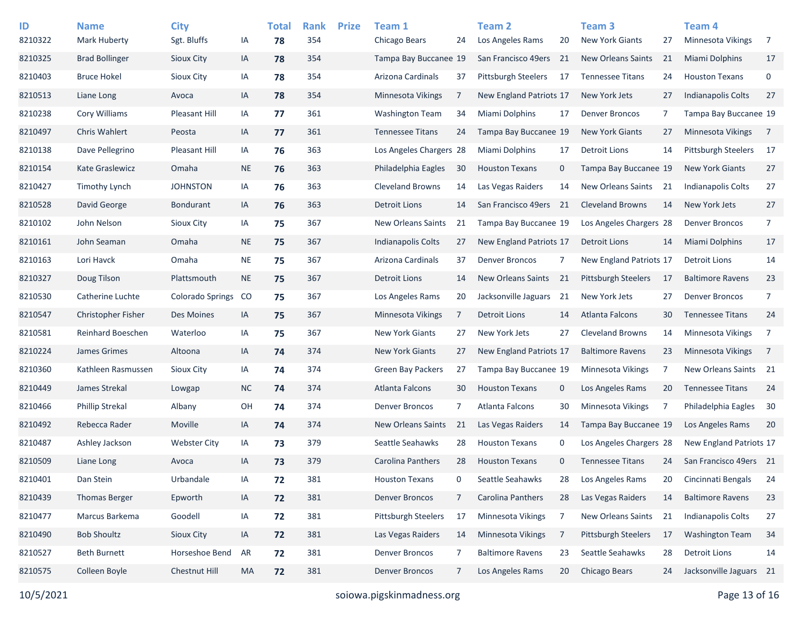| ID      | <b>Name</b>              | <b>City</b>             |           | <b>Total</b> | <b>Rank</b> | <b>Prize</b> | Team 1                     |    | Team 2                     |              | Team <sub>3</sub>          |    | <b>Team 4</b>              |                |
|---------|--------------------------|-------------------------|-----------|--------------|-------------|--------------|----------------------------|----|----------------------------|--------------|----------------------------|----|----------------------------|----------------|
| 8210322 | <b>Mark Huberty</b>      | Sgt. Bluffs             | IA        | 78           | 354         |              | Chicago Bears              | 24 | Los Angeles Rams           | 20           | <b>New York Giants</b>     | 27 | <b>Minnesota Vikings</b>   | 7              |
| 8210325 | <b>Brad Bollinger</b>    | Sioux City              | IA        | 78           | 354         |              | Tampa Bay Buccanee 19      |    | San Francisco 49ers        | 21           | New Orleans Saints         | 21 | Miami Dolphins             | 17             |
| 8210403 | <b>Bruce Hokel</b>       | Sioux City              | IA        | 78           | 354         |              | Arizona Cardinals          | 37 | <b>Pittsburgh Steelers</b> | 17           | <b>Tennessee Titans</b>    | 24 | <b>Houston Texans</b>      | 0              |
| 8210513 | Liane Long               | Avoca                   | IA        | 78           | 354         |              | Minnesota Vikings          | 7  | New England Patriots 17    |              | New York Jets              | 27 | <b>Indianapolis Colts</b>  | 27             |
| 8210238 | Cory Williams            | Pleasant Hill           | IA        | 77           | 361         |              | <b>Washington Team</b>     | 34 | Miami Dolphins             | 17           | <b>Denver Broncos</b>      | 7  | Tampa Bay Buccanee 19      |                |
| 8210497 | <b>Chris Wahlert</b>     | Peosta                  | IA        | 77           | 361         |              | <b>Tennessee Titans</b>    | 24 | Tampa Bay Buccanee 19      |              | <b>New York Giants</b>     | 27 | <b>Minnesota Vikings</b>   | $\overline{7}$ |
| 8210138 | Dave Pellegrino          | Pleasant Hill           | IA        | 76           | 363         |              | Los Angeles Chargers 28    |    | Miami Dolphins             | 17           | <b>Detroit Lions</b>       | 14 | <b>Pittsburgh Steelers</b> | 17             |
| 8210154 | Kate Graslewicz          | Omaha                   | <b>NE</b> | 76           | 363         |              | Philadelphia Eagles        | 30 | <b>Houston Texans</b>      | 0            | Tampa Bay Buccanee 19      |    | <b>New York Giants</b>     | 27             |
| 8210427 | Timothy Lynch            | <b>JOHNSTON</b>         | IA        | 76           | 363         |              | <b>Cleveland Browns</b>    | 14 | Las Vegas Raiders          | 14           | New Orleans Saints         | 21 | <b>Indianapolis Colts</b>  | 27             |
| 8210528 | David George             | <b>Bondurant</b>        | IA        | 76           | 363         |              | <b>Detroit Lions</b>       | 14 | San Francisco 49ers 21     |              | <b>Cleveland Browns</b>    | 14 | New York Jets              | 27             |
| 8210102 | John Nelson              | Sioux City              | IA        | 75           | 367         |              | <b>New Orleans Saints</b>  | 21 | Tampa Bay Buccanee 19      |              | Los Angeles Chargers 28    |    | <b>Denver Broncos</b>      | 7              |
| 8210161 | John Seaman              | Omaha                   | <b>NE</b> | 75           | 367         |              | <b>Indianapolis Colts</b>  | 27 | New England Patriots 17    |              | <b>Detroit Lions</b>       | 14 | Miami Dolphins             | 17             |
| 8210163 | Lori Havck               | Omaha                   | <b>NE</b> | 75           | 367         |              | Arizona Cardinals          | 37 | <b>Denver Broncos</b>      | 7            | New England Patriots 17    |    | <b>Detroit Lions</b>       | 14             |
| 8210327 | Doug Tilson              | Plattsmouth             | <b>NE</b> | 75           | 367         |              | <b>Detroit Lions</b>       | 14 | <b>New Orleans Saints</b>  | 21           | <b>Pittsburgh Steelers</b> | 17 | <b>Baltimore Ravens</b>    | 23             |
| 8210530 | Catherine Luchte         | <b>Colorado Springs</b> | CO        | 75           | 367         |              | Los Angeles Rams           | 20 | Jacksonville Jaguars       | 21           | New York Jets              | 27 | <b>Denver Broncos</b>      | 7              |
| 8210547 | Christopher Fisher       | Des Moines              | IA        | 75           | 367         |              | Minnesota Vikings          | 7  | Detroit Lions              | 14           | Atlanta Falcons            | 30 | <b>Tennessee Titans</b>    | 24             |
| 8210581 | <b>Reinhard Boeschen</b> | Waterloo                | IA        | 75           | 367         |              | <b>New York Giants</b>     | 27 | New York Jets              | 27           | <b>Cleveland Browns</b>    | 14 | <b>Minnesota Vikings</b>   | 7              |
| 8210224 | James Grimes             | Altoona                 | IA        | 74           | 374         |              | <b>New York Giants</b>     | 27 | New England Patriots 17    |              | <b>Baltimore Ravens</b>    | 23 | <b>Minnesota Vikings</b>   | $\overline{7}$ |
| 8210360 | Kathleen Rasmussen       | Sioux City              | IA        | 74           | 374         |              | Green Bay Packers          | 27 | Tampa Bay Buccanee 19      |              | Minnesota Vikings          | 7  | New Orleans Saints 21      |                |
| 8210449 | James Strekal            | Lowgap                  | <b>NC</b> | 74           | 374         |              | Atlanta Falcons            | 30 | <b>Houston Texans</b>      | 0            | Los Angeles Rams           | 20 | <b>Tennessee Titans</b>    | 24             |
| 8210466 | <b>Phillip Strekal</b>   | Albany                  | OH        | 74           | 374         |              | <b>Denver Broncos</b>      | 7  | Atlanta Falcons            | 30           | Minnesota Vikings          | 7  | Philadelphia Eagles        | 30             |
| 8210492 | Rebecca Rader            | Moville                 | IA        | 74           | 374         |              | <b>New Orleans Saints</b>  | 21 | Las Vegas Raiders          | 14           | Tampa Bay Buccanee 19      |    | Los Angeles Rams           | 20             |
| 8210487 | Ashley Jackson           | <b>Webster City</b>     | IA        | 73           | 379         |              | Seattle Seahawks           | 28 | <b>Houston Texans</b>      | 0            | Los Angeles Chargers 28    |    | New England Patriots 17    |                |
| 8210509 | Liane Long               | Avoca                   | IA        | 73           | 379         |              | <b>Carolina Panthers</b>   | 28 | <b>Houston Texans</b>      | $\mathbf{0}$ | <b>Tennessee Titans</b>    | 24 | San Francisco 49ers 21     |                |
| 8210401 | Dan Stein                | Urbandale               | IA        | 72           | 381         |              | <b>Houston Texans</b>      | 0  | Seattle Seahawks           | 28           | Los Angeles Rams           | 20 | Cincinnati Bengals         | 24             |
| 8210439 | <b>Thomas Berger</b>     | Epworth                 | IA        | 72           | 381         |              | <b>Denver Broncos</b>      | 7  | Carolina Panthers          | 28           | Las Vegas Raiders          | 14 | <b>Baltimore Ravens</b>    | 23             |
| 8210477 | Marcus Barkema           | Goodell                 | IA        | 72           | 381         |              | <b>Pittsburgh Steelers</b> | 17 | Minnesota Vikings          | 7            | New Orleans Saints         | 21 | Indianapolis Colts         | 27             |
| 8210490 | <b>Bob Shoultz</b>       | Sioux City              | IA        | 72           | 381         |              | Las Vegas Raiders          | 14 | Minnesota Vikings          | 7            | Pittsburgh Steelers        | 17 | <b>Washington Team</b>     | 34             |
| 8210527 | <b>Beth Burnett</b>      | Horseshoe Bend          | AR        | 72           | 381         |              | <b>Denver Broncos</b>      | 7  | <b>Baltimore Ravens</b>    | 23           | Seattle Seahawks           | 28 | <b>Detroit Lions</b>       | 14             |
| 8210575 | Colleen Boyle            | Chestnut Hill           | MA        | 72           | 381         |              | <b>Denver Broncos</b>      | 7  | Los Angeles Rams           | 20           | Chicago Bears              | 24 | Jacksonville Jaguars 21    |                |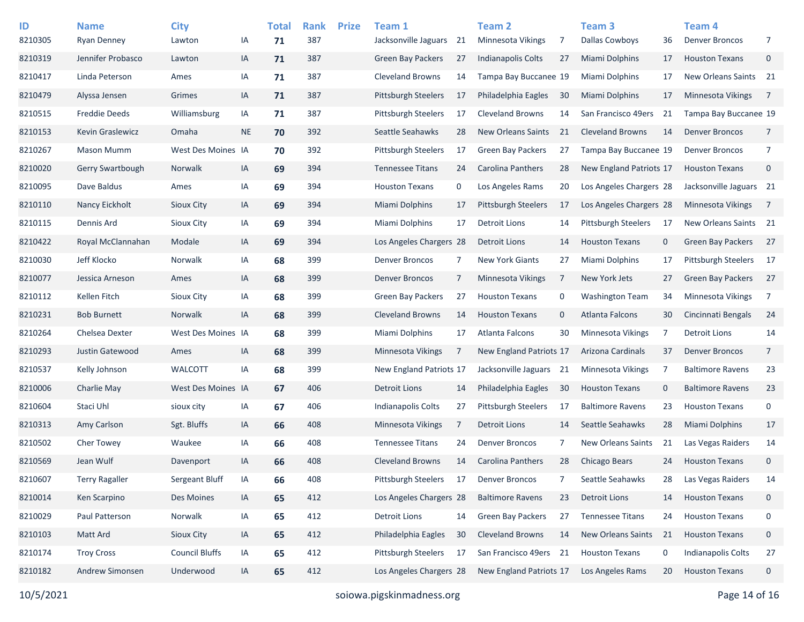| ID      | <b>Name</b>           | <b>City</b>           |           | <b>Total</b> | <b>Rank</b> | <b>Prize</b> | Team 1                     |    | <b>Team 2</b>              |             | Team <sub>3</sub>         |             | Team 4                     |                |
|---------|-----------------------|-----------------------|-----------|--------------|-------------|--------------|----------------------------|----|----------------------------|-------------|---------------------------|-------------|----------------------------|----------------|
| 8210305 | <b>Ryan Denney</b>    | Lawton                | IA        | 71           | 387         |              | Jacksonville Jaguars       | 21 | <b>Minnesota Vikings</b>   | 7           | <b>Dallas Cowboys</b>     | 36          | <b>Denver Broncos</b>      | 7              |
| 8210319 | Jennifer Probasco     | Lawton                | IA        | 71           | 387         |              | <b>Green Bay Packers</b>   | 27 | <b>Indianapolis Colts</b>  | 27          | <b>Miami Dolphins</b>     | 17          | <b>Houston Texans</b>      | $\mathbf 0$    |
| 8210417 | Linda Peterson        | Ames                  | ΙA        | 71           | 387         |              | <b>Cleveland Browns</b>    | 14 | Tampa Bay Buccanee 19      |             | Miami Dolphins            | 17          | New Orleans Saints 21      |                |
| 8210479 | Alyssa Jensen         | Grimes                | IA        | 71           | 387         |              | <b>Pittsburgh Steelers</b> | 17 | Philadelphia Eagles        | 30          | <b>Miami Dolphins</b>     | 17          | <b>Minnesota Vikings</b>   | $\overline{7}$ |
| 8210515 | <b>Freddie Deeds</b>  | Williamsburg          | IA        | 71           | 387         |              | <b>Pittsburgh Steelers</b> | 17 | <b>Cleveland Browns</b>    | 14          | San Francisco 49ers       | -21         | Tampa Bay Buccanee 19      |                |
| 8210153 | Kevin Graslewicz      | Omaha                 | <b>NE</b> | 70           | 392         |              | Seattle Seahawks           | 28 | <b>New Orleans Saints</b>  | 21          | <b>Cleveland Browns</b>   | 14          | <b>Denver Broncos</b>      | $\overline{7}$ |
| 8210267 | <b>Mason Mumm</b>     | West Des Moines IA    |           | 70           | 392         |              | <b>Pittsburgh Steelers</b> | 17 | <b>Green Bay Packers</b>   | 27          | Tampa Bay Buccanee 19     |             | <b>Denver Broncos</b>      | 7              |
| 8210020 | Gerry Swartbough      | Norwalk               | IA        | 69           | 394         |              | <b>Tennessee Titans</b>    | 24 | Carolina Panthers          | 28          | New England Patriots 17   |             | <b>Houston Texans</b>      | $\mathbf 0$    |
| 8210095 | Dave Baldus           | Ames                  | ΙA        | 69           | 394         |              | <b>Houston Texans</b>      | 0  | Los Angeles Rams           | 20          | Los Angeles Chargers 28   |             | Jacksonville Jaguars 21    |                |
| 8210110 | Nancy Eickholt        | <b>Sioux City</b>     | IA        | 69           | 394         |              | <b>Miami Dolphins</b>      | 17 | <b>Pittsburgh Steelers</b> | 17          | Los Angeles Chargers 28   |             | <b>Minnesota Vikings</b>   | $\overline{7}$ |
| 8210115 | Dennis Ard            | Sioux City            | ΙA        | 69           | 394         |              | Miami Dolphins             | 17 | <b>Detroit Lions</b>       | 14          | Pittsburgh Steelers       | -17         | New Orleans Saints 21      |                |
| 8210422 | Royal McClannahan     | Modale                | IA        | 69           | 394         |              | Los Angeles Chargers 28    |    | Detroit Lions              | 14          | <b>Houston Texans</b>     | $\mathbf 0$ | Green Bay Packers          | 27             |
| 8210030 | Jeff Klocko           | <b>Norwalk</b>        | ΙA        | 68           | 399         |              | <b>Denver Broncos</b>      | 7  | <b>New York Giants</b>     | 27          | <b>Miami Dolphins</b>     | 17          | <b>Pittsburgh Steelers</b> | 17             |
| 8210077 | Jessica Arneson       | Ames                  | IA        | 68           | 399         |              | <b>Denver Broncos</b>      | 7  | Minnesota Vikings          | 7           | <b>New York Jets</b>      | 27          | <b>Green Bay Packers</b>   | 27             |
| 8210112 | Kellen Fitch          | Sioux City            | IA        | 68           | 399         |              | <b>Green Bay Packers</b>   | 27 | <b>Houston Texans</b>      | 0           | <b>Washington Team</b>    | 34          | Minnesota Vikings          | $\overline{7}$ |
| 8210231 | <b>Bob Burnett</b>    | <b>Norwalk</b>        | IA        | 68           | 399         |              | <b>Cleveland Browns</b>    | 14 | <b>Houston Texans</b>      | $\mathbf 0$ | <b>Atlanta Falcons</b>    | 30          | Cincinnati Bengals         | 24             |
| 8210264 | Chelsea Dexter        | West Des Moines IA    |           | 68           | 399         |              | Miami Dolphins             | 17 | Atlanta Falcons            | 30          | Minnesota Vikings         | 7           | <b>Detroit Lions</b>       | 14             |
| 8210293 | Justin Gatewood       | Ames                  | IA        | 68           | 399         |              | Minnesota Vikings          | 7  | New England Patriots 17    |             | Arizona Cardinals         | 37          | <b>Denver Broncos</b>      | $\overline{7}$ |
| 8210537 | Kelly Johnson         | <b>WALCOTT</b>        | ΙA        | 68           | 399         |              | New England Patriots 17    |    | Jacksonville Jaguars       | 21          | Minnesota Vikings         | -7          | <b>Baltimore Ravens</b>    | 23             |
| 8210006 | Charlie May           | West Des Moines IA    |           | 67           | 406         |              | <b>Detroit Lions</b>       | 14 | Philadelphia Eagles        | 30          | <b>Houston Texans</b>     | $\mathbf 0$ | <b>Baltimore Ravens</b>    | 23             |
| 8210604 | Staci Uhl             | sioux city            | ΙA        | 67           | 406         |              | <b>Indianapolis Colts</b>  | 27 | <b>Pittsburgh Steelers</b> | 17          | <b>Baltimore Ravens</b>   | 23          | <b>Houston Texans</b>      | $\mathbf 0$    |
| 8210313 | Amy Carlson           | Sgt. Bluffs           | IA        | 66           | 408         |              | <b>Minnesota Vikings</b>   | 7  | Detroit Lions              | 14          | Seattle Seahawks          | 28          | <b>Miami Dolphins</b>      | 17             |
| 8210502 | <b>Cher Towey</b>     | Waukee                | ΙA        | 66           | 408         |              | <b>Tennessee Titans</b>    | 24 | <b>Denver Broncos</b>      | 7           | New Orleans Saints        | 21          | Las Vegas Raiders          | 14             |
| 8210569 | Jean Wulf             | Davenport             | IA        | 66           | 408         |              | <b>Cleveland Browns</b>    | 14 | Carolina Panthers          | 28          | <b>Chicago Bears</b>      | 24          | <b>Houston Texans</b>      | $\mathbf 0$    |
| 8210607 | <b>Terry Ragaller</b> | Sergeant Bluff        | IA        | 66           | 408         |              | Pittsburgh Steelers        | 17 | <b>Denver Broncos</b>      | 7           | Seattle Seahawks          | 28          | Las Vegas Raiders          | 14             |
| 8210014 | Ken Scarpino          | Des Moines            | IA        | 65           | 412         |              | Los Angeles Chargers 28    |    | <b>Baltimore Ravens</b>    | 23          | <b>Detroit Lions</b>      | 14          | <b>Houston Texans</b>      | $\mathbf 0$    |
| 8210029 | Paul Patterson        | Norwalk               | IA        | 65           | 412         |              | <b>Detroit Lions</b>       | 14 | Green Bay Packers          | 27          | <b>Tennessee Titans</b>   | 24          | <b>Houston Texans</b>      | 0              |
| 8210103 | Matt Ard              | Sioux City            | IA        | 65           | 412         |              | Philadelphia Eagles        | 30 | <b>Cleveland Browns</b>    | 14          | <b>New Orleans Saints</b> | 21          | <b>Houston Texans</b>      | $\mathbf 0$    |
| 8210174 | <b>Troy Cross</b>     | <b>Council Bluffs</b> | IA        | 65           | 412         |              | Pittsburgh Steelers        | 17 | San Francisco 49ers 21     |             | <b>Houston Texans</b>     | 0           | Indianapolis Colts         | 27             |
| 8210182 | Andrew Simonsen       | Underwood             | IA        | 65           | 412         |              | Los Angeles Chargers 28    |    | New England Patriots 17    |             | Los Angeles Rams          | 20          | <b>Houston Texans</b>      | $\mathbf 0$    |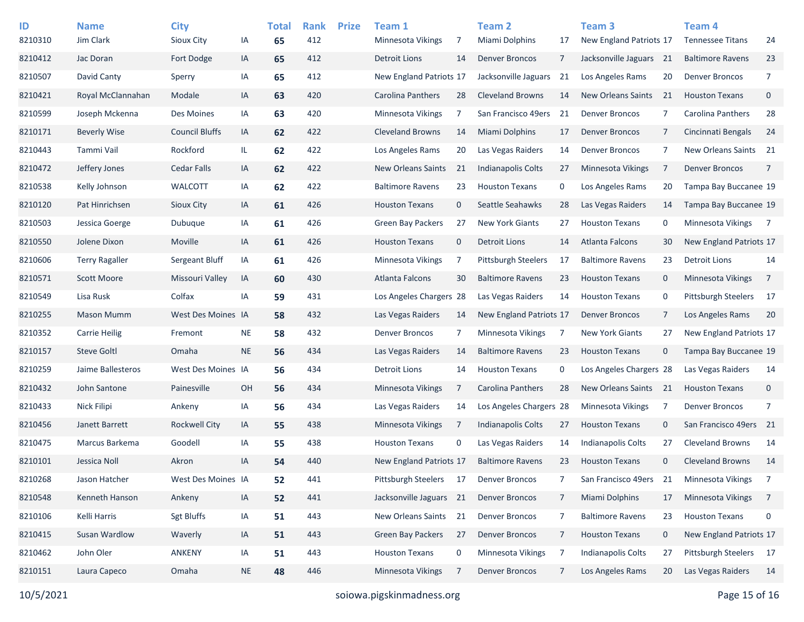| ID      | <b>Name</b>           | <b>City</b>           |           | <b>Total</b> | <b>Rank</b> | <b>Prize</b> | Team 1                    |             | Team <sub>2</sub>          |    | Team <sub>3</sub>         |              | Team <sub>4</sub>        |                |
|---------|-----------------------|-----------------------|-----------|--------------|-------------|--------------|---------------------------|-------------|----------------------------|----|---------------------------|--------------|--------------------------|----------------|
| 8210310 | Jim Clark             | Sioux City            | IA        | 65           | 412         |              | <b>Minnesota Vikings</b>  | 7           | Miami Dolphins             | 17 | New England Patriots 17   |              | <b>Tennessee Titans</b>  | 24             |
| 8210412 | Jac Doran             | Fort Dodge            | IA        | 65           | 412         |              | <b>Detroit Lions</b>      | 14          | <b>Denver Broncos</b>      | 7  | Jacksonville Jaguars 21   |              | <b>Baltimore Ravens</b>  | 23             |
| 8210507 | David Canty           | Sperry                | IA        | 65           | 412         |              | New England Patriots 17   |             | Jacksonville Jaguars       | 21 | Los Angeles Rams          | 20           | <b>Denver Broncos</b>    | $\overline{7}$ |
| 8210421 | Royal McClannahan     | Modale                | IA        | 63           | 420         |              | Carolina Panthers         | 28          | <b>Cleveland Browns</b>    | 14 | <b>New Orleans Saints</b> | 21           | <b>Houston Texans</b>    | 0              |
| 8210599 | Joseph Mckenna        | Des Moines            | IA        | 63           | 420         |              | Minnesota Vikings         | 7           | San Francisco 49ers        | 21 | <b>Denver Broncos</b>     | 7            | Carolina Panthers        | 28             |
| 8210171 | <b>Beverly Wise</b>   | <b>Council Bluffs</b> | IA        | 62           | 422         |              | <b>Cleveland Browns</b>   | 14          | <b>Miami Dolphins</b>      | 17 | <b>Denver Broncos</b>     | 7            | Cincinnati Bengals       | 24             |
| 8210443 | Tammi Vail            | Rockford              | IL.       | 62           | 422         |              | Los Angeles Rams          | 20          | Las Vegas Raiders          | 14 | <b>Denver Broncos</b>     | 7            | New Orleans Saints 21    |                |
| 8210472 | Jeffery Jones         | Cedar Falls           | IA        | 62           | 422         |              | <b>New Orleans Saints</b> | 21          | <b>Indianapolis Colts</b>  | 27 | Minnesota Vikings         | 7            | <b>Denver Broncos</b>    | $\overline{7}$ |
| 8210538 | Kelly Johnson         | <b>WALCOTT</b>        | IA        | 62           | 422         |              | <b>Baltimore Ravens</b>   | 23          | <b>Houston Texans</b>      | 0  | Los Angeles Rams          | 20           | Tampa Bay Buccanee 19    |                |
| 8210120 | Pat Hinrichsen        | Sioux City            | IA        | 61           | 426         |              | <b>Houston Texans</b>     | $\mathbf 0$ | Seattle Seahawks           | 28 | Las Vegas Raiders         | 14           | Tampa Bay Buccanee 19    |                |
| 8210503 | Jessica Goerge        | Dubuque               | IA        | 61           | 426         |              | <b>Green Bay Packers</b>  | 27          | <b>New York Giants</b>     | 27 | <b>Houston Texans</b>     | 0            | Minnesota Vikings        | $\overline{7}$ |
| 8210550 | Jolene Dixon          | Moville               | IA        | 61           | 426         |              | <b>Houston Texans</b>     | $\mathbf 0$ | <b>Detroit Lions</b>       | 14 | Atlanta Falcons           | 30           | New England Patriots 17  |                |
| 8210606 | <b>Terry Ragaller</b> | Sergeant Bluff        | IA        | 61           | 426         |              | Minnesota Vikings         | 7           | <b>Pittsburgh Steelers</b> | 17 | <b>Baltimore Ravens</b>   | 23           | <b>Detroit Lions</b>     | 14             |
| 8210571 | <b>Scott Moore</b>    | Missouri Valley       | IA        | 60           | 430         |              | <b>Atlanta Falcons</b>    | 30          | <b>Baltimore Ravens</b>    | 23 | <b>Houston Texans</b>     | $\mathbf 0$  | <b>Minnesota Vikings</b> | 7              |
| 8210549 | Lisa Rusk             | Colfax                | IA        | 59           | 431         |              | Los Angeles Chargers 28   |             | Las Vegas Raiders          | 14 | <b>Houston Texans</b>     | 0            | Pittsburgh Steelers      | 17             |
| 8210255 | <b>Mason Mumm</b>     | West Des Moines IA    |           | 58           | 432         |              | Las Vegas Raiders         | 14          | New England Patriots 17    |    | Denver Broncos            | 7            | Los Angeles Rams         | 20             |
| 8210352 | <b>Carrie Heilig</b>  | Fremont               | <b>NE</b> | 58           | 432         |              | <b>Denver Broncos</b>     | 7           | Minnesota Vikings          | 7  | <b>New York Giants</b>    | 27           | New England Patriots 17  |                |
| 8210157 | <b>Steve Goltl</b>    | Omaha                 | <b>NE</b> | 56           | 434         |              | Las Vegas Raiders         | 14          | <b>Baltimore Ravens</b>    | 23 | <b>Houston Texans</b>     | $\mathbf 0$  | Tampa Bay Buccanee 19    |                |
| 8210259 | Jaime Ballesteros     | West Des Moines IA    |           | 56           | 434         |              | Detroit Lions             | 14          | <b>Houston Texans</b>      | 0  | Los Angeles Chargers 28   |              | Las Vegas Raiders        | 14             |
| 8210432 | John Santone          | Painesville           | OH        | 56           | 434         |              | Minnesota Vikings         | 7           | Carolina Panthers          | 28 | <b>New Orleans Saints</b> | 21           | <b>Houston Texans</b>    | $\mathbf 0$    |
| 8210433 | Nick Filipi           | Ankeny                | IA        | 56           | 434         |              | Las Vegas Raiders         | 14          | Los Angeles Chargers 28    |    | Minnesota Vikings         | 7            | <b>Denver Broncos</b>    | 7              |
| 8210456 | Janett Barrett        | <b>Rockwell City</b>  | IA        | 55           | 438         |              | <b>Minnesota Vikings</b>  | 7           | <b>Indianapolis Colts</b>  | 27 | <b>Houston Texans</b>     | $\mathbf 0$  | San Francisco 49ers 21   |                |
| 8210475 | Marcus Barkema        | Goodell               | IA        | 55           | 438         |              | <b>Houston Texans</b>     | 0           | Las Vegas Raiders          | 14 | Indianapolis Colts        | 27           | <b>Cleveland Browns</b>  | 14             |
| 8210101 | Jessica Noll          | Akron                 | IA        | 54           | 440         |              | New England Patriots 17   |             | <b>Baltimore Ravens</b>    | 23 | <b>Houston Texans</b>     | $\mathbf{0}$ | <b>Cleveland Browns</b>  | 14             |
| 8210268 | Jason Hatcher         | West Des Moines IA    |           | 52           | 441         |              | Pittsburgh Steelers       | 17          | <b>Denver Broncos</b>      | 7  | San Francisco 49ers       | 21           | Minnesota Vikings        | $\overline{7}$ |
| 8210548 | Kenneth Hanson        | Ankeny                | IA        | 52           | 441         |              | Jacksonville Jaguars 21   |             | <b>Denver Broncos</b>      | 7  | Miami Dolphins            | 17           | Minnesota Vikings        | $\overline{7}$ |
| 8210106 | Kelli Harris          | <b>Sgt Bluffs</b>     | IA        | 51           | 443         |              | New Orleans Saints        | 21          | <b>Denver Broncos</b>      | 7  | <b>Baltimore Ravens</b>   | 23           | <b>Houston Texans</b>    | 0              |
| 8210415 | Susan Wardlow         | Waverly               | IA        | 51           | 443         |              | Green Bay Packers         | 27          | <b>Denver Broncos</b>      | 7  | <b>Houston Texans</b>     | $\mathbf 0$  | New England Patriots 17  |                |
| 8210462 | John Oler             | <b>ANKENY</b>         | IA        | 51           | 443         |              | <b>Houston Texans</b>     | 0           | Minnesota Vikings          | 7  | Indianapolis Colts        | 27           | Pittsburgh Steelers      | 17             |
| 8210151 | Laura Capeco          | Omaha                 | <b>NE</b> | 48           | 446         |              | Minnesota Vikings         | 7           | <b>Denver Broncos</b>      | 7  | Los Angeles Rams          | 20           | Las Vegas Raiders        | 14             |